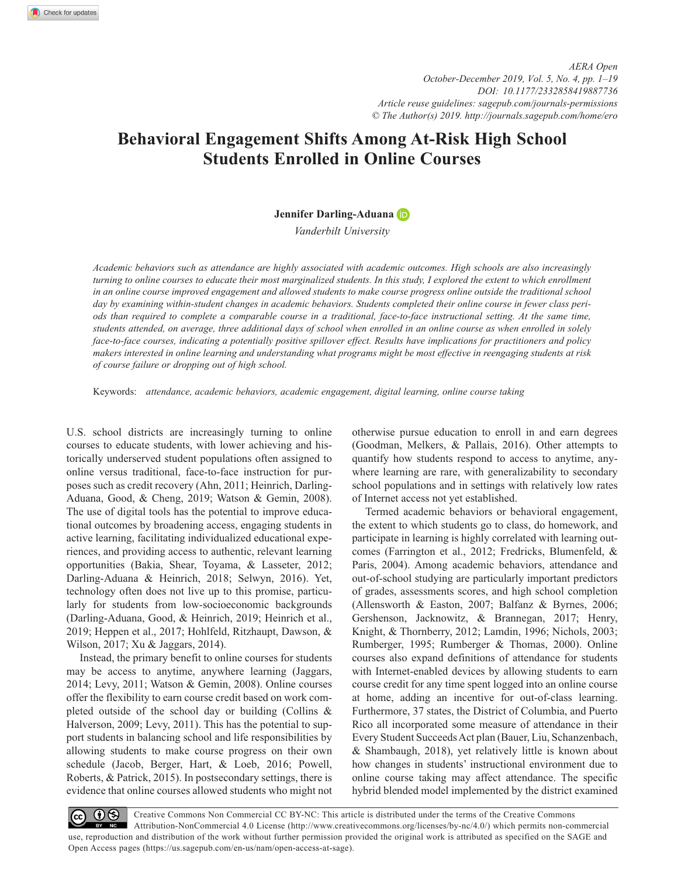# **Behavioral Engagement Shifts Among At-Risk High School Students Enrolled in Online Courses**

## **Jennifer Darling-Aduana**

*Vanderbilt University*

*Academic behaviors such as attendance are highly associated with academic outcomes. High schools are also increasingly turning to online courses to educate their most marginalized students. In this study, I explored the extent to which enrollment in an online course improved engagement and allowed students to make course progress online outside the traditional school day by examining within-student changes in academic behaviors. Students completed their online course in fewer class periods than required to complete a comparable course in a traditional, face-to-face instructional setting. At the same time, students attended, on average, three additional days of school when enrolled in an online course as when enrolled in solely face-to-face courses, indicating a potentially positive spillover effect. Results have implications for practitioners and policy makers interested in online learning and understanding what programs might be most effective in reengaging students at risk of course failure or dropping out of high school.*

Keywords: *attendance, academic behaviors, academic engagement, digital learning, online course taking*

U.s. school districts are increasingly turning to online courses to educate students, with lower achieving and historically underserved student populations often assigned to online versus traditional, face-to-face instruction for purposes such as credit recovery (Ahn, 2011; Heinrich, Darling-Aduana, Good, & Cheng, 2019; Watson & Gemin, 2008). The use of digital tools has the potential to improve educational outcomes by broadening access, engaging students in active learning, facilitating individualized educational experiences, and providing access to authentic, relevant learning opportunities (Bakia, Shear, Toyama, & Lasseter, 2012; Darling-Aduana & Heinrich, 2018; Selwyn, 2016). Yet, technology often does not live up to this promise, particularly for students from low-socioeconomic backgrounds (Darling-Aduana, Good, & Heinrich, 2019; Heinrich et al., 2019; Heppen et al., 2017; Hohlfeld, Ritzhaupt, Dawson, & Wilson, 2017; Xu & Jaggars, 2014).

Instead, the primary benefit to online courses for students may be access to anytime, anywhere learning (Jaggars, 2014; Levy, 2011; Watson & Gemin, 2008). Online courses offer the flexibility to earn course credit based on work completed outside of the school day or building (Collins & Halverson, 2009; Levy, 2011). This has the potential to support students in balancing school and life responsibilities by allowing students to make course progress on their own schedule (Jacob, Berger, Hart, & Loeb, 2016; Powell, Roberts, & Patrick, 2015). In postsecondary settings, there is evidence that online courses allowed students who might not

otherwise pursue education to enroll in and earn degrees (Goodman, Melkers, & Pallais, 2016). Other attempts to quantify how students respond to access to anytime, anywhere learning are rare, with generalizability to secondary school populations and in settings with relatively low rates of Internet access not yet established.

Termed academic behaviors or behavioral engagement, the extent to which students go to class, do homework, and participate in learning is highly correlated with learning outcomes (Farrington et al., 2012; Fredricks, Blumenfeld, & Paris, 2004). Among academic behaviors, attendance and out-of-school studying are particularly important predictors of grades, assessments scores, and high school completion (Allensworth & Easton, 2007; Balfanz & Byrnes, 2006; Gershenson, Jacknowitz, & Brannegan, 2017; Henry, Knight, & Thornberry, 2012; Lamdin, 1996; Nichols, 2003; Rumberger, 1995; Rumberger & Thomas, 2000). Online courses also expand definitions of attendance for students with Internet-enabled devices by allowing students to earn course credit for any time spent logged into an online course at home, adding an incentive for out-of-class learning. Furthermore, 37 states, the District of Columbia, and Puerto Rico all incorporated some measure of attendance in their Every Student Succeeds Act plan (Bauer, Liu, Schanzenbach, & Shambaugh, 2018), yet relatively little is known about how changes in students' instructional environment due to online course taking may affect attendance. The specific hybrid blended model implemented by the district examined

Creative Commons Non Commercial CC BY-NC: This article is distributed under the terms of the Creative Commons  $\odot$  $\left( c c \right)$ Attribution-NonCommercial 4.0 License (http://www.creativecommons.org/licenses/by-nc/4.0/) which permits non-commercial use, reproduction and distribution of the work without further permission provided the original work is attributed as specified on the SAGE and Open Access pages (https://us.sagepub.com/en-us/nam/open-access-at-sage).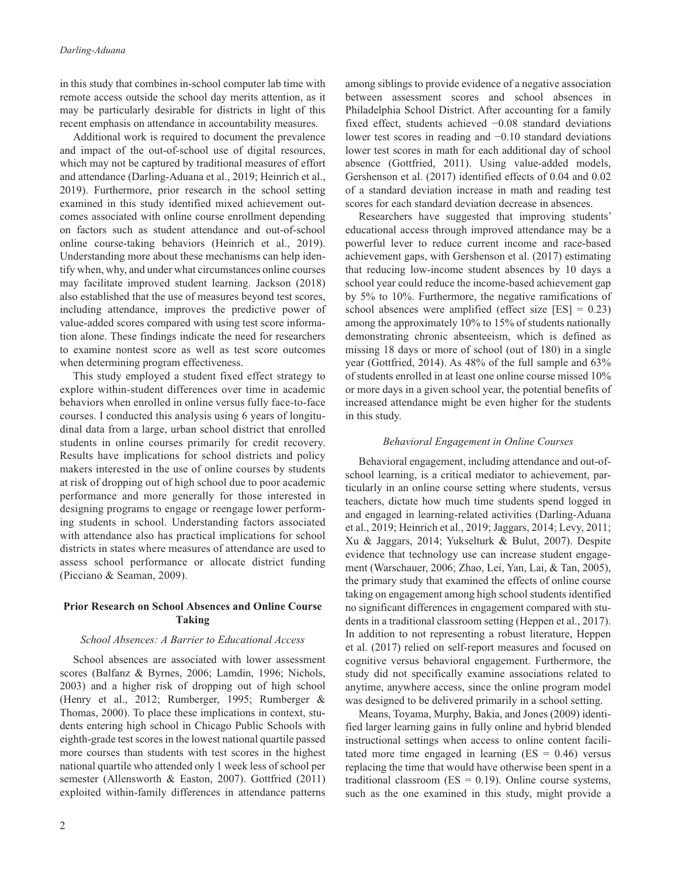in this study that combines in-school computer lab time with remote access outside the school day merits attention, as it may be particularly desirable for districts in light of this recent emphasis on attendance in accountability measures.

Additional work is required to document the prevalence and impact of the out-of-school use of digital resources, which may not be captured by traditional measures of effort and attendance (Darling-Aduana et al., 2019; Heinrich et al., 2019). Furthermore, prior research in the school setting examined in this study identified mixed achievement outcomes associated with online course enrollment depending on factors such as student attendance and out-of-school online course-taking behaviors (Heinrich et al., 2019). Understanding more about these mechanisms can help identify when, why, and under what circumstances online courses may facilitate improved student learning. Jackson (2018) also established that the use of measures beyond test scores, including attendance, improves the predictive power of value-added scores compared with using test score information alone. These findings indicate the need for researchers to examine nontest score as well as test score outcomes when determining program effectiveness.

This study employed a student fixed effect strategy to explore within-student differences over time in academic behaviors when enrolled in online versus fully face-to-face courses. I conducted this analysis using 6 years of longitudinal data from a large, urban school district that enrolled students in online courses primarily for credit recovery. Results have implications for school districts and policy makers interested in the use of online courses by students at risk of dropping out of high school due to poor academic performance and more generally for those interested in designing programs to engage or reengage lower performing students in school. Understanding factors associated with attendance also has practical implications for school districts in states where measures of attendance are used to assess school performance or allocate district funding (Picciano & Seaman, 2009).

# **Prior Research on School Absences and Online Course Taking**

# *School Absences: A Barrier to Educational Access*

School absences are associated with lower assessment scores (Balfanz & Byrnes, 2006; Lamdin, 1996; Nichols, 2003) and a higher risk of dropping out of high school (Henry et al., 2012; Rumberger, 1995; Rumberger & Thomas, 2000). To place these implications in context, students entering high school in Chicago Public Schools with eighth-grade test scores in the lowest national quartile passed more courses than students with test scores in the highest national quartile who attended only 1 week less of school per semester (Allensworth & Easton, 2007). Gottfried (2011) exploited within-family differences in attendance patterns among siblings to provide evidence of a negative association between assessment scores and school absences in Philadelphia School District. After accounting for a family fixed effect, students achieved −0.08 standard deviations lower test scores in reading and −0.10 standard deviations lower test scores in math for each additional day of school absence (Gottfried, 2011). Using value-added models, Gershenson et al. (2017) identified effects of 0.04 and 0.02 of a standard deviation increase in math and reading test scores for each standard deviation decrease in absences.

Researchers have suggested that improving students' educational access through improved attendance may be a powerful lever to reduce current income and race-based achievement gaps, with Gershenson et al. (2017) estimating that reducing low-income student absences by 10 days a school year could reduce the income-based achievement gap by 5% to 10%. Furthermore, the negative ramifications of school absences were amplified (effect size  $[ES] = 0.23$ ) among the approximately 10% to 15% of students nationally demonstrating chronic absenteeism, which is defined as missing 18 days or more of school (out of 180) in a single year (Gottfried, 2014). As 48% of the full sample and 63% of students enrolled in at least one online course missed 10% or more days in a given school year, the potential benefits of increased attendance might be even higher for the students in this study.

# *Behavioral Engagement in Online Courses*

Behavioral engagement, including attendance and out-ofschool learning, is a critical mediator to achievement, particularly in an online course setting where students, versus teachers, dictate how much time students spend logged in and engaged in learning-related activities (Darling-Aduana et al., 2019; Heinrich et al., 2019; Jaggars, 2014; Levy, 2011; Xu & Jaggars, 2014; Yukselturk & Bulut, 2007). Despite evidence that technology use can increase student engagement (Warschauer, 2006; Zhao, Lei, Yan, Lai, & Tan, 2005), the primary study that examined the effects of online course taking on engagement among high school students identified no significant differences in engagement compared with students in a traditional classroom setting (Heppen et al., 2017). In addition to not representing a robust literature, Heppen et al. (2017) relied on self-report measures and focused on cognitive versus behavioral engagement. Furthermore, the study did not specifically examine associations related to anytime, anywhere access, since the online program model was designed to be delivered primarily in a school setting.

Means, Toyama, Murphy, Bakia, and Jones (2009) identified larger learning gains in fully online and hybrid blended instructional settings when access to online content facilitated more time engaged in learning  $(ES = 0.46)$  versus replacing the time that would have otherwise been spent in a traditional classroom ( $ES = 0.19$ ). Online course systems, such as the one examined in this study, might provide a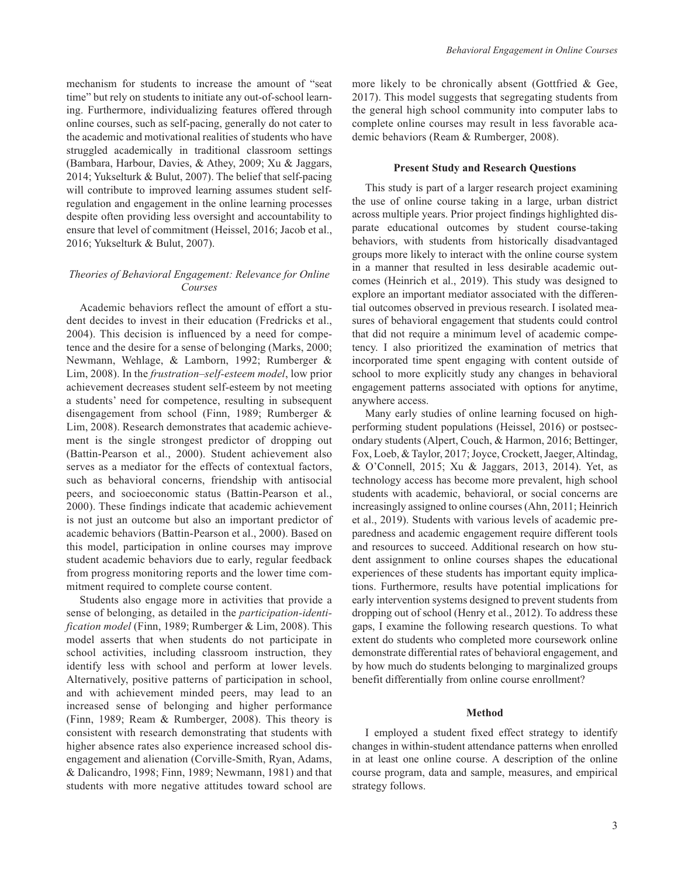mechanism for students to increase the amount of "seat time" but rely on students to initiate any out-of-school learning. Furthermore, individualizing features offered through online courses, such as self-pacing, generally do not cater to the academic and motivational realities of students who have struggled academically in traditional classroom settings (Bambara, Harbour, Davies, & Athey, 2009; Xu & Jaggars, 2014; Yukselturk & Bulut, 2007). The belief that self-pacing will contribute to improved learning assumes student selfregulation and engagement in the online learning processes despite often providing less oversight and accountability to ensure that level of commitment (Heissel, 2016; Jacob et al., 2016; Yukselturk & Bulut, 2007).

## *Theories of Behavioral Engagement: Relevance for Online Courses*

Academic behaviors reflect the amount of effort a student decides to invest in their education (Fredricks et al., 2004). This decision is influenced by a need for competence and the desire for a sense of belonging (Marks, 2000; Newmann, Wehlage, & Lamborn, 1992; Rumberger & Lim, 2008). In the *frustration–self-esteem model*, low prior achievement decreases student self-esteem by not meeting a students' need for competence, resulting in subsequent disengagement from school (Finn, 1989; Rumberger & Lim, 2008). Research demonstrates that academic achievement is the single strongest predictor of dropping out (Battin-Pearson et al., 2000). Student achievement also serves as a mediator for the effects of contextual factors, such as behavioral concerns, friendship with antisocial peers, and socioeconomic status (Battin-Pearson et al., 2000). These findings indicate that academic achievement is not just an outcome but also an important predictor of academic behaviors (Battin-Pearson et al., 2000). Based on this model, participation in online courses may improve student academic behaviors due to early, regular feedback from progress monitoring reports and the lower time commitment required to complete course content.

Students also engage more in activities that provide a sense of belonging, as detailed in the *participation-identification model* (Finn, 1989; Rumberger & Lim, 2008). This model asserts that when students do not participate in school activities, including classroom instruction, they identify less with school and perform at lower levels. Alternatively, positive patterns of participation in school, and with achievement minded peers, may lead to an increased sense of belonging and higher performance (Finn, 1989; Ream & Rumberger, 2008). This theory is consistent with research demonstrating that students with higher absence rates also experience increased school disengagement and alienation (Corville-Smith, Ryan, Adams, & Dalicandro, 1998; Finn, 1989; Newmann, 1981) and that students with more negative attitudes toward school are

more likely to be chronically absent (Gottfried & Gee, 2017). This model suggests that segregating students from the general high school community into computer labs to complete online courses may result in less favorable academic behaviors (Ream & Rumberger, 2008).

#### **Present Study and Research Questions**

This study is part of a larger research project examining the use of online course taking in a large, urban district across multiple years. Prior project findings highlighted disparate educational outcomes by student course-taking behaviors, with students from historically disadvantaged groups more likely to interact with the online course system in a manner that resulted in less desirable academic outcomes (Heinrich et al., 2019). This study was designed to explore an important mediator associated with the differential outcomes observed in previous research. I isolated measures of behavioral engagement that students could control that did not require a minimum level of academic competency. I also prioritized the examination of metrics that incorporated time spent engaging with content outside of school to more explicitly study any changes in behavioral engagement patterns associated with options for anytime, anywhere access.

Many early studies of online learning focused on highperforming student populations (Heissel, 2016) or postsecondary students (Alpert, Couch, & Harmon, 2016; Bettinger, Fox, Loeb, & Taylor, 2017; Joyce, Crockett, Jaeger, Altindag, & O'Connell, 2015; Xu & Jaggars, 2013, 2014). Yet, as technology access has become more prevalent, high school students with academic, behavioral, or social concerns are increasingly assigned to online courses (Ahn, 2011; Heinrich et al., 2019). Students with various levels of academic preparedness and academic engagement require different tools and resources to succeed. Additional research on how student assignment to online courses shapes the educational experiences of these students has important equity implications. Furthermore, results have potential implications for early intervention systems designed to prevent students from dropping out of school (Henry et al., 2012). To address these gaps, I examine the following research questions. To what extent do students who completed more coursework online demonstrate differential rates of behavioral engagement, and by how much do students belonging to marginalized groups benefit differentially from online course enrollment?

## **Method**

I employed a student fixed effect strategy to identify changes in within-student attendance patterns when enrolled in at least one online course. A description of the online course program, data and sample, measures, and empirical strategy follows.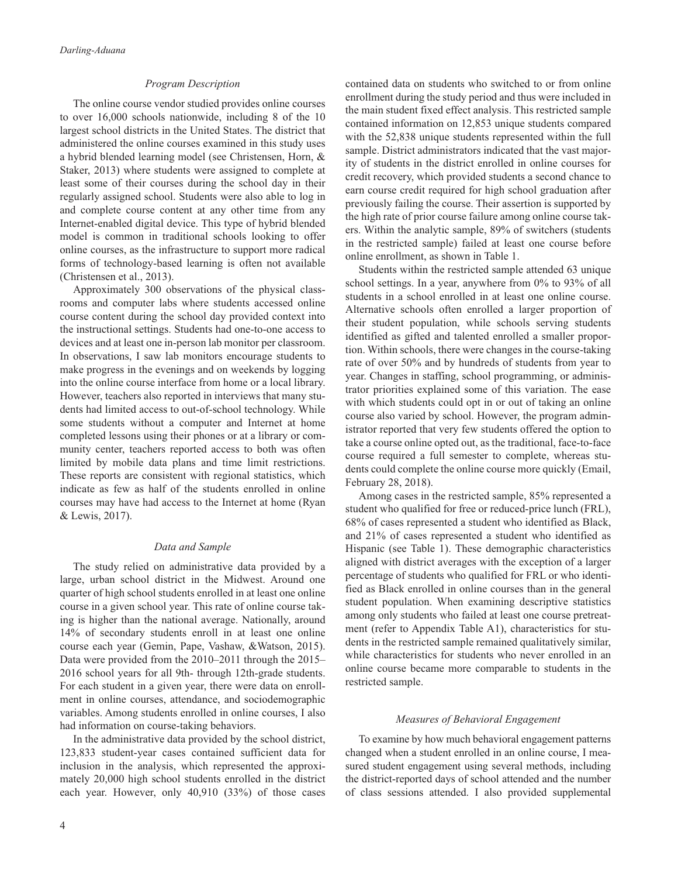#### *Program Description*

The online course vendor studied provides online courses to over 16,000 schools nationwide, including 8 of the 10 largest school districts in the United States. The district that administered the online courses examined in this study uses a hybrid blended learning model (see Christensen, Horn, & Staker, 2013) where students were assigned to complete at least some of their courses during the school day in their regularly assigned school. Students were also able to log in and complete course content at any other time from any Internet-enabled digital device. This type of hybrid blended model is common in traditional schools looking to offer online courses, as the infrastructure to support more radical forms of technology-based learning is often not available (Christensen et al., 2013).

Approximately 300 observations of the physical classrooms and computer labs where students accessed online course content during the school day provided context into the instructional settings. Students had one-to-one access to devices and at least one in-person lab monitor per classroom. In observations, I saw lab monitors encourage students to make progress in the evenings and on weekends by logging into the online course interface from home or a local library. However, teachers also reported in interviews that many students had limited access to out-of-school technology. While some students without a computer and Internet at home completed lessons using their phones or at a library or community center, teachers reported access to both was often limited by mobile data plans and time limit restrictions. These reports are consistent with regional statistics, which indicate as few as half of the students enrolled in online courses may have had access to the Internet at home (Ryan & Lewis, 2017).

# *Data and Sample*

The study relied on administrative data provided by a large, urban school district in the Midwest. Around one quarter of high school students enrolled in at least one online course in a given school year. This rate of online course taking is higher than the national average. Nationally, around 14% of secondary students enroll in at least one online course each year (Gemin, Pape, Vashaw, &Watson, 2015). Data were provided from the 2010–2011 through the 2015– 2016 school years for all 9th- through 12th-grade students. For each student in a given year, there were data on enrollment in online courses, attendance, and sociodemographic variables. Among students enrolled in online courses, I also had information on course-taking behaviors.

In the administrative data provided by the school district, 123,833 student-year cases contained sufficient data for inclusion in the analysis, which represented the approximately 20,000 high school students enrolled in the district each year. However, only 40,910 (33%) of those cases contained data on students who switched to or from online enrollment during the study period and thus were included in the main student fixed effect analysis. This restricted sample contained information on 12,853 unique students compared with the 52,838 unique students represented within the full sample. District administrators indicated that the vast majority of students in the district enrolled in online courses for credit recovery, which provided students a second chance to earn course credit required for high school graduation after previously failing the course. Their assertion is supported by the high rate of prior course failure among online course takers. Within the analytic sample, 89% of switchers (students in the restricted sample) failed at least one course before online enrollment, as shown in Table 1.

Students within the restricted sample attended 63 unique school settings. In a year, anywhere from 0% to 93% of all students in a school enrolled in at least one online course. Alternative schools often enrolled a larger proportion of their student population, while schools serving students identified as gifted and talented enrolled a smaller proportion. Within schools, there were changes in the course-taking rate of over 50% and by hundreds of students from year to year. Changes in staffing, school programming, or administrator priorities explained some of this variation. The ease with which students could opt in or out of taking an online course also varied by school. However, the program administrator reported that very few students offered the option to take a course online opted out, as the traditional, face-to-face course required a full semester to complete, whereas students could complete the online course more quickly (Email, February 28, 2018).

Among cases in the restricted sample, 85% represented a student who qualified for free or reduced-price lunch (FRL), 68% of cases represented a student who identified as Black, and 21% of cases represented a student who identified as Hispanic (see Table 1). These demographic characteristics aligned with district averages with the exception of a larger percentage of students who qualified for FRL or who identified as Black enrolled in online courses than in the general student population. When examining descriptive statistics among only students who failed at least one course pretreatment (refer to Appendix Table A1), characteristics for students in the restricted sample remained qualitatively similar, while characteristics for students who never enrolled in an online course became more comparable to students in the restricted sample.

## *Measures of Behavioral Engagement*

To examine by how much behavioral engagement patterns changed when a student enrolled in an online course, I measured student engagement using several methods, including the district-reported days of school attended and the number of class sessions attended. I also provided supplemental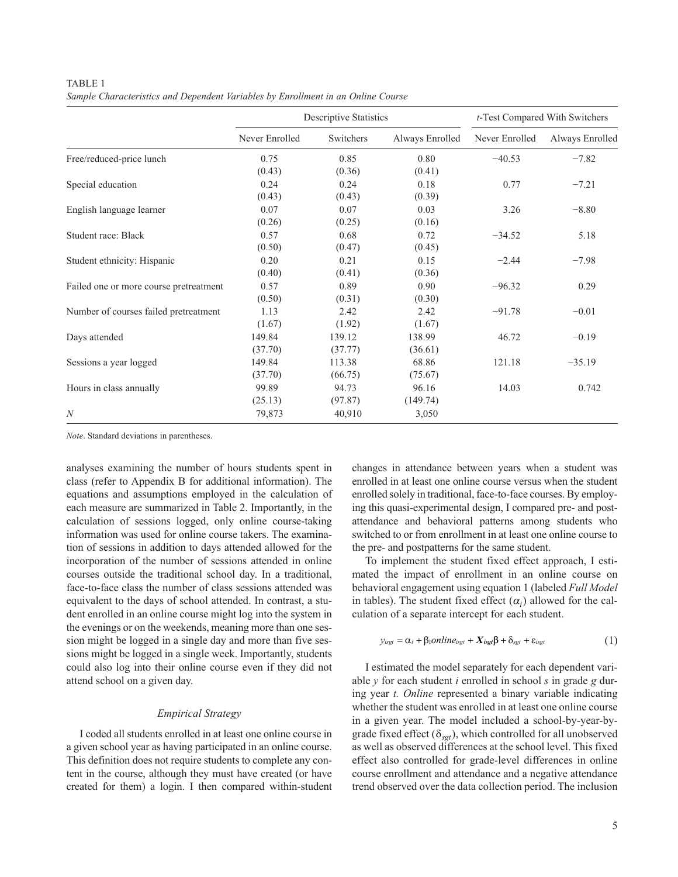TABLE 1 *Sample Characteristics and Dependent Variables by Enrollment in an Online Course*

|                                        | <b>Descriptive Statistics</b> |           | t-Test Compared With Switchers |                |                 |
|----------------------------------------|-------------------------------|-----------|--------------------------------|----------------|-----------------|
|                                        | Never Enrolled                | Switchers | Always Enrolled                | Never Enrolled | Always Enrolled |
| Free/reduced-price lunch               | 0.75                          | 0.85      | 0.80                           | $-40.53$       | $-7.82$         |
|                                        | (0.43)                        | (0.36)    | (0.41)                         |                |                 |
| Special education                      | 0.24                          | 0.24      | 0.18                           | 0.77           | $-7.21$         |
|                                        | (0.43)                        | (0.43)    | (0.39)                         |                |                 |
| English language learner               | 0.07                          | 0.07      | 0.03                           | 3.26           | $-8.80$         |
|                                        | (0.26)                        | (0.25)    | (0.16)                         |                |                 |
| Student race: Black                    | 0.57                          | 0.68      | 0.72                           | $-34.52$       | 5.18            |
|                                        | (0.50)                        | (0.47)    | (0.45)                         |                |                 |
| Student ethnicity: Hispanic            | 0.20                          | 0.21      | 0.15                           | $-2.44$        | $-7.98$         |
|                                        | (0.40)                        | (0.41)    | (0.36)                         |                |                 |
| Failed one or more course pretreatment | 0.57                          | 0.89      | 0.90                           | $-96.32$       | 0.29            |
|                                        | (0.50)                        | (0.31)    | (0.30)                         |                |                 |
| Number of courses failed pretreatment  | 1.13                          | 2.42      | 2.42                           | $-91.78$       | $-0.01$         |
|                                        | (1.67)                        | (1.92)    | (1.67)                         |                |                 |
| Days attended                          | 149.84                        | 139.12    | 138.99                         | 46.72          | $-0.19$         |
|                                        | (37.70)                       | (37.77)   | (36.61)                        |                |                 |
| Sessions a year logged                 | 149.84                        | 113.38    | 68.86                          | 121.18         | $-35.19$        |
|                                        | (37.70)                       | (66.75)   | (75.67)                        |                |                 |
| Hours in class annually                | 99.89                         | 94.73     | 96.16                          | 14.03          | 0.742           |
|                                        | (25.13)                       | (97.87)   | (149.74)                       |                |                 |
| $\overline{N}$                         | 79,873                        | 40,910    | 3,050                          |                |                 |

*Note*. Standard deviations in parentheses.

analyses examining the number of hours students spent in class (refer to Appendix B for additional information). The equations and assumptions employed in the calculation of each measure are summarized in Table 2. Importantly, in the calculation of sessions logged, only online course-taking information was used for online course takers. The examination of sessions in addition to days attended allowed for the incorporation of the number of sessions attended in online courses outside the traditional school day. In a traditional, face-to-face class the number of class sessions attended was equivalent to the days of school attended. In contrast, a student enrolled in an online course might log into the system in the evenings or on the weekends, meaning more than one session might be logged in a single day and more than five sessions might be logged in a single week. Importantly, students could also log into their online course even if they did not attend school on a given day.

# *Empirical Strategy*

I coded all students enrolled in at least one online course in a given school year as having participated in an online course. This definition does not require students to complete any content in the course, although they must have created (or have created for them) a login. I then compared within-student changes in attendance between years when a student was enrolled in at least one online course versus when the student enrolled solely in traditional, face-to-face courses. By employing this quasi-experimental design, I compared pre- and postattendance and behavioral patterns among students who switched to or from enrollment in at least one online course to the pre- and postpatterns for the same student.

To implement the student fixed effect approach, I estimated the impact of enrollment in an online course on behavioral engagement using equation 1 (labeled *Full Model* in tables). The student fixed effect  $(\alpha_i)$  allowed for the calculation of a separate intercept for each student.

$$
y_{isgt} = \alpha_i + \beta_1 \text{online}_{isgt} + X_{\text{isgt}} \beta + \delta_{\text{sgt}} + \varepsilon_{\text{isgt}} \tag{1}
$$

I estimated the model separately for each dependent variable *y* for each student *i* enrolled in school *s* in grade *g* during year *t. Online* represented a binary variable indicating whether the student was enrolled in at least one online course in a given year. The model included a school-by-year-bygrade fixed effect  $(\delta_{\text{sgt}})$ , which controlled for all unobserved as well as observed differences at the school level. This fixed effect also controlled for grade-level differences in online course enrollment and attendance and a negative attendance trend observed over the data collection period. The inclusion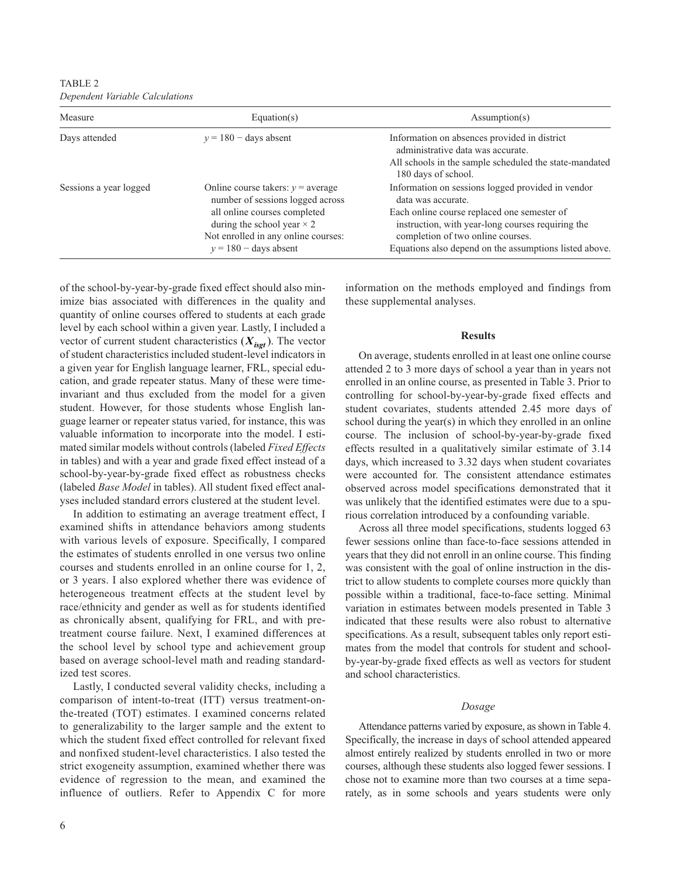TABLE 2 *Dependent Variable Calculations*

| Measure                | Equation $(s)$                                                                                                                                                                                                        | Assumption(s)                                                                                                                                                                                                                                                              |
|------------------------|-----------------------------------------------------------------------------------------------------------------------------------------------------------------------------------------------------------------------|----------------------------------------------------------------------------------------------------------------------------------------------------------------------------------------------------------------------------------------------------------------------------|
| Days attended          | $v = 180$ – days absent                                                                                                                                                                                               | Information on absences provided in district<br>administrative data was accurate.<br>All schools in the sample scheduled the state-mandated<br>180 days of school.                                                                                                         |
| Sessions a year logged | Online course takers: $v = average$<br>number of sessions logged across<br>all online courses completed<br>during the school year $\times$ 2<br>Not enrolled in any online courses:<br>$v = 180 - \text{days absent}$ | Information on sessions logged provided in vendor<br>data was accurate.<br>Each online course replaced one semester of<br>instruction, with year-long courses requiring the<br>completion of two online courses.<br>Equations also depend on the assumptions listed above. |

of the school-by-year-by-grade fixed effect should also minimize bias associated with differences in the quality and quantity of online courses offered to students at each grade level by each school within a given year. Lastly, I included a vector of current student characteristics  $(X_{\text{isgt}})$ . The vector of student characteristics included student-level indicators in a given year for English language learner, FRL, special education, and grade repeater status. Many of these were timeinvariant and thus excluded from the model for a given student. However, for those students whose English language learner or repeater status varied, for instance, this was valuable information to incorporate into the model. I estimated similar models without controls (labeled *Fixed Effects* in tables) and with a year and grade fixed effect instead of a school-by-year-by-grade fixed effect as robustness checks (labeled *Base Model* in tables). All student fixed effect analyses included standard errors clustered at the student level.

In addition to estimating an average treatment effect, I examined shifts in attendance behaviors among students with various levels of exposure. Specifically, I compared the estimates of students enrolled in one versus two online courses and students enrolled in an online course for 1, 2, or 3 years. I also explored whether there was evidence of heterogeneous treatment effects at the student level by race/ethnicity and gender as well as for students identified as chronically absent, qualifying for FRL, and with pretreatment course failure. Next, I examined differences at the school level by school type and achievement group based on average school-level math and reading standardized test scores.

Lastly, I conducted several validity checks, including a comparison of intent-to-treat (ITT) versus treatment-onthe-treated (TOT) estimates. I examined concerns related to generalizability to the larger sample and the extent to which the student fixed effect controlled for relevant fixed and nonfixed student-level characteristics. I also tested the strict exogeneity assumption, examined whether there was evidence of regression to the mean, and examined the influence of outliers. Refer to Appendix C for more

6

information on the methods employed and findings from these supplemental analyses.

#### **Results**

On average, students enrolled in at least one online course attended 2 to 3 more days of school a year than in years not enrolled in an online course, as presented in Table 3. Prior to controlling for school-by-year-by-grade fixed effects and student covariates, students attended 2.45 more days of school during the year(s) in which they enrolled in an online course. The inclusion of school-by-year-by-grade fixed effects resulted in a qualitatively similar estimate of 3.14 days, which increased to 3.32 days when student covariates were accounted for. The consistent attendance estimates observed across model specifications demonstrated that it was unlikely that the identified estimates were due to a spurious correlation introduced by a confounding variable.

Across all three model specifications, students logged 63 fewer sessions online than face-to-face sessions attended in years that they did not enroll in an online course. This finding was consistent with the goal of online instruction in the district to allow students to complete courses more quickly than possible within a traditional, face-to-face setting. Minimal variation in estimates between models presented in Table 3 indicated that these results were also robust to alternative specifications. As a result, subsequent tables only report estimates from the model that controls for student and schoolby-year-by-grade fixed effects as well as vectors for student and school characteristics.

#### *Dosage*

Attendance patterns varied by exposure, as shown in Table 4. Specifically, the increase in days of school attended appeared almost entirely realized by students enrolled in two or more courses, although these students also logged fewer sessions. I chose not to examine more than two courses at a time separately, as in some schools and years students were only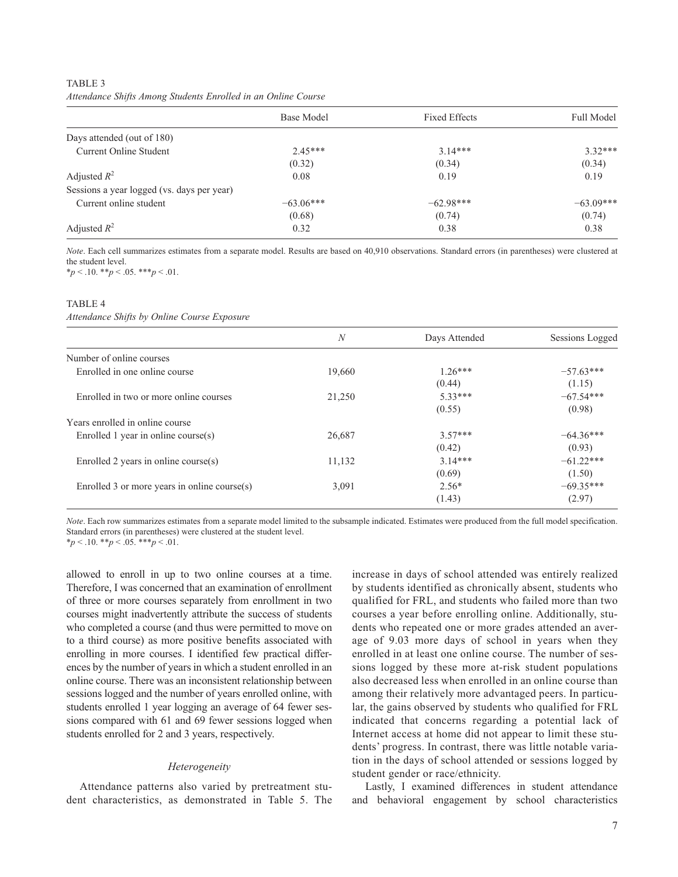TABLE<sub>3</sub>

| Attendance Shifts Among Students Enrolled in an Online Course |  |  |  |  |
|---------------------------------------------------------------|--|--|--|--|
|                                                               |  |  |  |  |

|                                            | Base Model  | <b>Fixed Effects</b> | <b>Full Model</b> |
|--------------------------------------------|-------------|----------------------|-------------------|
| Days attended (out of 180)                 |             |                      |                   |
| Current Online Student                     | $2.45***$   | $3.14***$            | $3.32***$         |
|                                            | (0.32)      | (0.34)               | (0.34)            |
| Adjusted $R^2$                             | 0.08        | 0.19                 | 0.19              |
| Sessions a year logged (vs. days per year) |             |                      |                   |
| Current online student                     | $-63.06***$ | $-62.98***$          | $-63.09***$       |
|                                            | (0.68)      | (0.74)               | (0.74)            |
| Adjusted $R^2$                             | 0.32        | 0.38                 | 0.38              |

*Note*. Each cell summarizes estimates from a separate model. Results are based on 40,910 observations. Standard errors (in parentheses) were clustered at the student level.

 $*_{p}$  < .10.  $*_{p}$  < .05.  $*_{p}$  < .01.

## TABLE 4

*Attendance Shifts by Online Course Exposure*

|                                                 | $\boldsymbol{N}$ | Days Attended | Sessions Logged |
|-------------------------------------------------|------------------|---------------|-----------------|
| Number of online courses                        |                  |               |                 |
| Enrolled in one online course                   | 19,660           | $1.26***$     | $-57.63***$     |
|                                                 |                  | (0.44)        | (1.15)          |
| Enrolled in two or more online courses          | 21,250           | $5.33***$     | $-67.54***$     |
|                                                 |                  | (0.55)        | (0.98)          |
| Years enrolled in online course                 |                  |               |                 |
| Enrolled 1 year in online course $(s)$          | 26,687           | $3.57***$     | $-64.36***$     |
|                                                 |                  | (0.42)        | (0.93)          |
| Enrolled 2 years in online course $(s)$         | 11,132           | $3.14***$     | $-61.22***$     |
|                                                 |                  | (0.69)        | (1.50)          |
| Enrolled 3 or more years in online course $(s)$ | 3,091            | $2.56*$       | $-69.35***$     |
|                                                 |                  | (1.43)        | (2.97)          |

*Note*. Each row summarizes estimates from a separate model limited to the subsample indicated. Estimates were produced from the full model specification. Standard errors (in parentheses) were clustered at the student level.

 $**p* < .10.$   $**p* < .05.$   $**p* < .01.$ 

allowed to enroll in up to two online courses at a time. Therefore, I was concerned that an examination of enrollment of three or more courses separately from enrollment in two courses might inadvertently attribute the success of students who completed a course (and thus were permitted to move on to a third course) as more positive benefits associated with enrolling in more courses. I identified few practical differences by the number of years in which a student enrolled in an online course. There was an inconsistent relationship between sessions logged and the number of years enrolled online, with students enrolled 1 year logging an average of 64 fewer sessions compared with 61 and 69 fewer sessions logged when students enrolled for 2 and 3 years, respectively.

## *Heterogeneity*

Attendance patterns also varied by pretreatment student characteristics, as demonstrated in Table 5. The increase in days of school attended was entirely realized by students identified as chronically absent, students who qualified for FRL, and students who failed more than two courses a year before enrolling online. Additionally, students who repeated one or more grades attended an average of 9.03 more days of school in years when they enrolled in at least one online course. The number of sessions logged by these more at-risk student populations also decreased less when enrolled in an online course than among their relatively more advantaged peers. In particular, the gains observed by students who qualified for FRL indicated that concerns regarding a potential lack of Internet access at home did not appear to limit these students' progress. In contrast, there was little notable variation in the days of school attended or sessions logged by student gender or race/ethnicity.

Lastly, I examined differences in student attendance and behavioral engagement by school characteristics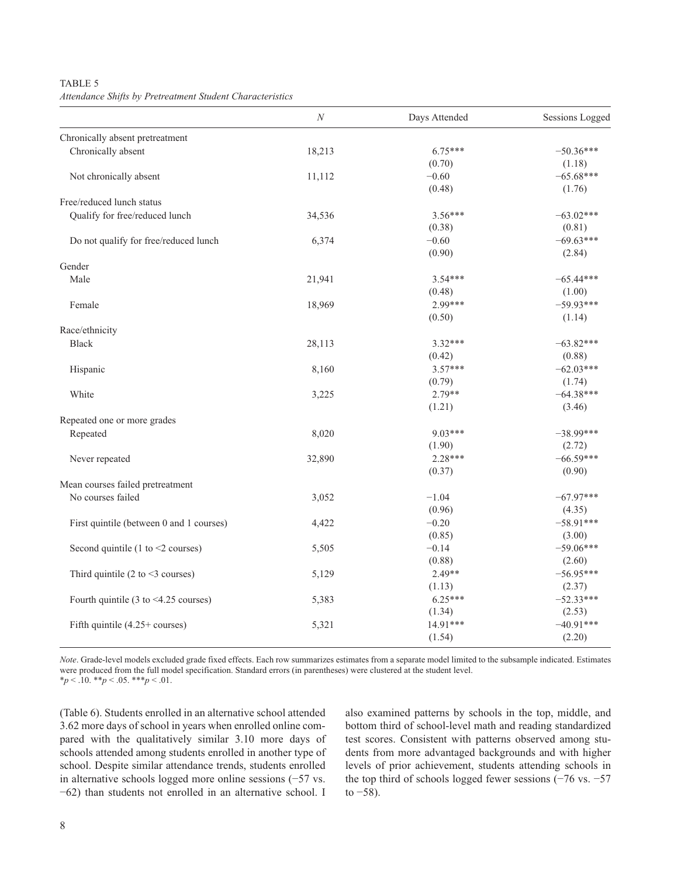TABLE 5

*Attendance Shifts by Pretreatment Student Characteristics*

|                                                          | $\cal N$ | Days Attended | <b>Sessions Logged</b> |
|----------------------------------------------------------|----------|---------------|------------------------|
| Chronically absent pretreatment                          |          |               |                        |
| Chronically absent                                       | 18,213   | $6.75***$     | $-50.36***$            |
|                                                          |          | (0.70)        | (1.18)                 |
| Not chronically absent                                   | 11,112   | $-0.60$       | $-65.68***$            |
|                                                          |          | (0.48)        | (1.76)                 |
| Free/reduced lunch status                                |          |               |                        |
| Qualify for free/reduced lunch                           | 34,536   | $3.56***$     | $-63.02***$            |
|                                                          |          | (0.38)        | (0.81)                 |
| Do not qualify for free/reduced lunch                    | 6,374    | $-0.60$       | $-69.63***$            |
|                                                          |          | (0.90)        | (2.84)                 |
| Gender                                                   |          |               |                        |
| Male                                                     | 21,941   | $3.54***$     | $-65.44***$            |
|                                                          |          | (0.48)        | (1.00)                 |
| Female                                                   | 18,969   | 2.99***       | $-59.93***$            |
|                                                          |          | (0.50)        | (1.14)                 |
| Race/ethnicity                                           |          |               |                        |
| Black                                                    | 28,113   | $3.32***$     | $-63.82***$            |
|                                                          |          | (0.42)        | (0.88)                 |
| Hispanic                                                 | 8,160    | $3.57***$     | $-62.03***$            |
|                                                          |          | (0.79)        | (1.74)                 |
| White                                                    | 3,225    | $2.79**$      | $-64.38***$            |
|                                                          |          | (1.21)        | (3.46)                 |
| Repeated one or more grades                              |          |               |                        |
| Repeated                                                 | 8,020    | $9.03***$     | $-38.99***$            |
|                                                          |          | (1.90)        | (2.72)                 |
| Never repeated                                           | 32,890   | $2.28***$     | $-66.59***$            |
|                                                          |          | (0.37)        | (0.90)                 |
| Mean courses failed pretreatment                         |          |               |                        |
| No courses failed                                        | 3,052    | $-1.04$       | $-67.97***$            |
|                                                          |          | (0.96)        | (4.35)                 |
| First quintile (between 0 and 1 courses)                 | 4,422    | $-0.20$       | $-58.91***$            |
|                                                          |          | (0.85)        | (3.00)                 |
| Second quintile $(1 to < 2 \text{ courses})$             | 5,505    | $-0.14$       | $-59.06***$            |
|                                                          |          | (0.88)        | (2.60)                 |
| Third quintile $(2 \text{ to } < 3 \text{ courses})$     | 5,129    | $2.49**$      | $-56.95***$            |
|                                                          |          | (1.13)        | (2.37)                 |
| Fourth quintile $(3 \text{ to } < 4.25 \text{ courses})$ | 5,383    | $6.25***$     | $-52.33***$            |
|                                                          |          | (1.34)        | (2.53)                 |
| Fifth quintile (4.25+ courses)                           | 5,321    | 14.91***      | $-40.91***$            |
|                                                          |          | (1.54)        | (2.20)                 |

*Note*. Grade-level models excluded grade fixed effects. Each row summarizes estimates from a separate model limited to the subsample indicated. Estimates were produced from the full model specification. Standard errors (in parentheses) were clustered at the student level.  $**p* < .10.$   $**p* < .05.$   $**p* < .01.$ 

(Table 6). Students enrolled in an alternative school attended 3.62 more days of school in years when enrolled online compared with the qualitatively similar 3.10 more days of schools attended among students enrolled in another type of school. Despite similar attendance trends, students enrolled in alternative schools logged more online sessions (−57 vs. −62) than students not enrolled in an alternative school. I

also examined patterns by schools in the top, middle, and bottom third of school-level math and reading standardized test scores. Consistent with patterns observed among students from more advantaged backgrounds and with higher levels of prior achievement, students attending schools in the top third of schools logged fewer sessions (−76 vs. −57 to  $-58$ ).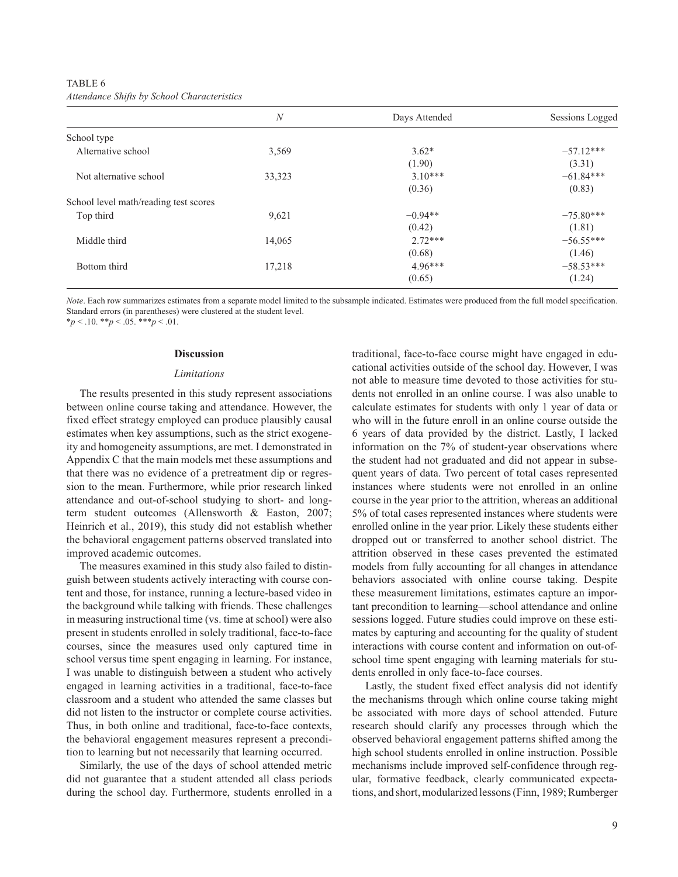|                                       | $\boldsymbol{N}$ | Days Attended | Sessions Logged |
|---------------------------------------|------------------|---------------|-----------------|
| School type                           |                  |               |                 |
| Alternative school                    | 3,569            | $3.62*$       | $-57.12***$     |
|                                       |                  | (1.90)        | (3.31)          |
| Not alternative school                | 33,323           | $3.10***$     | $-61.84***$     |
|                                       |                  | (0.36)        | (0.83)          |
| School level math/reading test scores |                  |               |                 |
| Top third                             | 9,621            | $-0.94**$     | $-75.80***$     |
|                                       |                  | (0.42)        | (1.81)          |
| Middle third                          | 14,065           | $2.72***$     | $-56.55***$     |
|                                       |                  | (0.68)        | (1.46)          |
| Bottom third                          | 17,218           | $4.96***$     | $-58.53***$     |
|                                       |                  | (0.65)        | (1.24)          |

TABLE 6 *Attendance Shifts by School Characteristics*

*Note*. Each row summarizes estimates from a separate model limited to the subsample indicated. Estimates were produced from the full model specification. Standard errors (in parentheses) were clustered at the student level.  $*_p$  < .10.  $*_p$  < .05.  $**_p$  < .01.

#### **Discussion**

#### *Limitations*

The results presented in this study represent associations between online course taking and attendance. However, the fixed effect strategy employed can produce plausibly causal estimates when key assumptions, such as the strict exogeneity and homogeneity assumptions, are met. I demonstrated in Appendix C that the main models met these assumptions and that there was no evidence of a pretreatment dip or regression to the mean. Furthermore, while prior research linked attendance and out-of-school studying to short- and longterm student outcomes (Allensworth & Easton, 2007; Heinrich et al., 2019), this study did not establish whether the behavioral engagement patterns observed translated into improved academic outcomes.

The measures examined in this study also failed to distinguish between students actively interacting with course content and those, for instance, running a lecture-based video in the background while talking with friends. These challenges in measuring instructional time (vs. time at school) were also present in students enrolled in solely traditional, face-to-face courses, since the measures used only captured time in school versus time spent engaging in learning. For instance, I was unable to distinguish between a student who actively engaged in learning activities in a traditional, face-to-face classroom and a student who attended the same classes but did not listen to the instructor or complete course activities. Thus, in both online and traditional, face-to-face contexts, the behavioral engagement measures represent a precondition to learning but not necessarily that learning occurred.

Similarly, the use of the days of school attended metric did not guarantee that a student attended all class periods during the school day. Furthermore, students enrolled in a traditional, face-to-face course might have engaged in educational activities outside of the school day. However, I was not able to measure time devoted to those activities for students not enrolled in an online course. I was also unable to calculate estimates for students with only 1 year of data or who will in the future enroll in an online course outside the 6 years of data provided by the district. Lastly, I lacked information on the 7% of student-year observations where the student had not graduated and did not appear in subsequent years of data. Two percent of total cases represented instances where students were not enrolled in an online course in the year prior to the attrition, whereas an additional 5% of total cases represented instances where students were enrolled online in the year prior. Likely these students either dropped out or transferred to another school district. The attrition observed in these cases prevented the estimated models from fully accounting for all changes in attendance behaviors associated with online course taking. Despite these measurement limitations, estimates capture an important precondition to learning—school attendance and online sessions logged. Future studies could improve on these estimates by capturing and accounting for the quality of student interactions with course content and information on out-ofschool time spent engaging with learning materials for students enrolled in only face-to-face courses.

Lastly, the student fixed effect analysis did not identify the mechanisms through which online course taking might be associated with more days of school attended. Future research should clarify any processes through which the observed behavioral engagement patterns shifted among the high school students enrolled in online instruction. Possible mechanisms include improved self-confidence through regular, formative feedback, clearly communicated expectations, and short, modularized lessons (Finn, 1989; Rumberger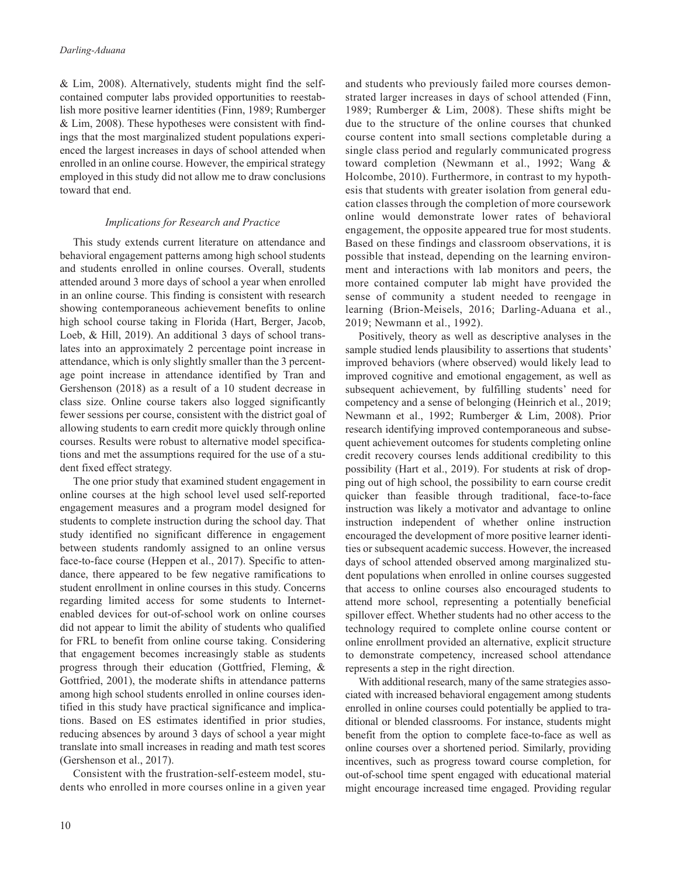& Lim, 2008). Alternatively, students might find the selfcontained computer labs provided opportunities to reestablish more positive learner identities (Finn, 1989; Rumberger & Lim, 2008). These hypotheses were consistent with findings that the most marginalized student populations experienced the largest increases in days of school attended when enrolled in an online course. However, the empirical strategy employed in this study did not allow me to draw conclusions toward that end.

## *Implications for Research and Practice*

This study extends current literature on attendance and behavioral engagement patterns among high school students and students enrolled in online courses. Overall, students attended around 3 more days of school a year when enrolled in an online course. This finding is consistent with research showing contemporaneous achievement benefits to online high school course taking in Florida (Hart, Berger, Jacob, Loeb, & Hill, 2019). An additional 3 days of school translates into an approximately 2 percentage point increase in attendance, which is only slightly smaller than the 3 percentage point increase in attendance identified by Tran and Gershenson (2018) as a result of a 10 student decrease in class size. Online course takers also logged significantly fewer sessions per course, consistent with the district goal of allowing students to earn credit more quickly through online courses. Results were robust to alternative model specifications and met the assumptions required for the use of a student fixed effect strategy.

The one prior study that examined student engagement in online courses at the high school level used self-reported engagement measures and a program model designed for students to complete instruction during the school day. That study identified no significant difference in engagement between students randomly assigned to an online versus face-to-face course (Heppen et al., 2017). Specific to attendance, there appeared to be few negative ramifications to student enrollment in online courses in this study. Concerns regarding limited access for some students to Internetenabled devices for out-of-school work on online courses did not appear to limit the ability of students who qualified for FRL to benefit from online course taking. Considering that engagement becomes increasingly stable as students progress through their education (Gottfried, Fleming, & Gottfried, 2001), the moderate shifts in attendance patterns among high school students enrolled in online courses identified in this study have practical significance and implications. Based on ES estimates identified in prior studies, reducing absences by around 3 days of school a year might translate into small increases in reading and math test scores (Gershenson et al., 2017).

Consistent with the frustration-self-esteem model, students who enrolled in more courses online in a given year and students who previously failed more courses demonstrated larger increases in days of school attended (Finn, 1989; Rumberger & Lim, 2008). These shifts might be due to the structure of the online courses that chunked course content into small sections completable during a single class period and regularly communicated progress toward completion (Newmann et al., 1992; Wang & Holcombe, 2010). Furthermore, in contrast to my hypothesis that students with greater isolation from general education classes through the completion of more coursework online would demonstrate lower rates of behavioral engagement, the opposite appeared true for most students. Based on these findings and classroom observations, it is possible that instead, depending on the learning environment and interactions with lab monitors and peers, the more contained computer lab might have provided the sense of community a student needed to reengage in learning (Brion-Meisels, 2016; Darling-Aduana et al., 2019; Newmann et al., 1992).

Positively, theory as well as descriptive analyses in the sample studied lends plausibility to assertions that students' improved behaviors (where observed) would likely lead to improved cognitive and emotional engagement, as well as subsequent achievement, by fulfilling students' need for competency and a sense of belonging (Heinrich et al., 2019; Newmann et al., 1992; Rumberger & Lim, 2008). Prior research identifying improved contemporaneous and subsequent achievement outcomes for students completing online credit recovery courses lends additional credibility to this possibility (Hart et al., 2019). For students at risk of dropping out of high school, the possibility to earn course credit quicker than feasible through traditional, face-to-face instruction was likely a motivator and advantage to online instruction independent of whether online instruction encouraged the development of more positive learner identities or subsequent academic success. However, the increased days of school attended observed among marginalized student populations when enrolled in online courses suggested that access to online courses also encouraged students to attend more school, representing a potentially beneficial spillover effect. Whether students had no other access to the technology required to complete online course content or online enrollment provided an alternative, explicit structure to demonstrate competency, increased school attendance represents a step in the right direction.

With additional research, many of the same strategies associated with increased behavioral engagement among students enrolled in online courses could potentially be applied to traditional or blended classrooms. For instance, students might benefit from the option to complete face-to-face as well as online courses over a shortened period. Similarly, providing incentives, such as progress toward course completion, for out-of-school time spent engaged with educational material might encourage increased time engaged. Providing regular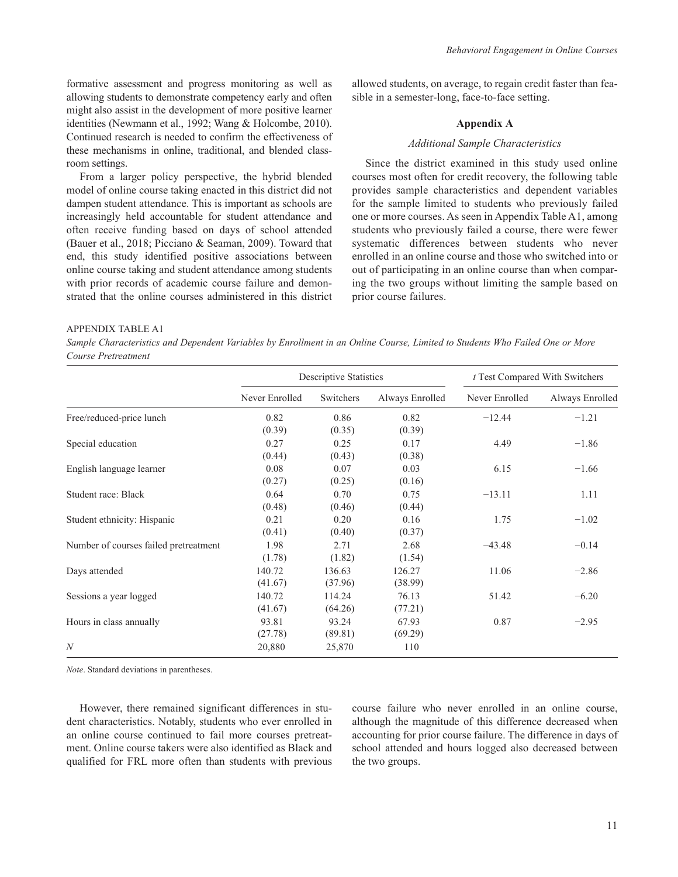From a larger policy perspective, the hybrid blended model of online course taking enacted in this district did not dampen student attendance. This is important as schools are increasingly held accountable for student attendance and often receive funding based on days of school attended (Bauer et al., 2018; Picciano & Seaman, 2009). Toward that end, this study identified positive associations between online course taking and student attendance among students with prior records of academic course failure and demonstrated that the online courses administered in this district allowed students, on average, to regain credit faster than feasible in a semester-long, face-to-face setting.

#### **Appendix A**

#### *Additional Sample Characteristics*

Since the district examined in this study used online courses most often for credit recovery, the following table provides sample characteristics and dependent variables for the sample limited to students who previously failed one or more courses. As seen in Appendix Table A1, among students who previously failed a course, there were fewer systematic differences between students who never enrolled in an online course and those who switched into or out of participating in an online course than when comparing the two groups without limiting the sample based on prior course failures.

# Appendix Table A1

*Sample Characteristics and Dependent Variables by Enrollment in an Online Course, Limited to Students Who Failed One or More Course Pretreatment*

|                                       |                | <b>Descriptive Statistics</b> |                 |                | t Test Compared With Switchers |
|---------------------------------------|----------------|-------------------------------|-----------------|----------------|--------------------------------|
|                                       | Never Enrolled | Switchers                     | Always Enrolled | Never Enrolled | Always Enrolled                |
| Free/reduced-price lunch              | 0.82           | 0.86                          | 0.82            | $-12.44$       | $-1.21$                        |
|                                       | (0.39)         | (0.35)                        | (0.39)          |                |                                |
| Special education                     | 0.27           | 0.25                          | 0.17            | 4.49           | $-1.86$                        |
|                                       | (0.44)         | (0.43)                        | (0.38)          |                |                                |
| English language learner              | 0.08           | 0.07                          | 0.03            | 6.15           | $-1.66$                        |
|                                       | (0.27)         | (0.25)                        | (0.16)          |                |                                |
| Student race: Black                   | 0.64           | 0.70                          | 0.75            | $-13.11$       | 1.11                           |
|                                       | (0.48)         | (0.46)                        | (0.44)          |                |                                |
| Student ethnicity: Hispanic           | 0.21           | 0.20                          | 0.16            | 1.75           | $-1.02$                        |
|                                       | (0.41)         | (0.40)                        | (0.37)          |                |                                |
| Number of courses failed pretreatment | 1.98           | 2.71                          | 2.68            | $-43.48$       | $-0.14$                        |
|                                       | (1.78)         | (1.82)                        | (1.54)          |                |                                |
| Days attended                         | 140.72         | 136.63                        | 126.27          | 11.06          | $-2.86$                        |
|                                       | (41.67)        | (37.96)                       | (38.99)         |                |                                |
| Sessions a year logged                | 140.72         | 114.24                        | 76.13           | 51.42          | $-6.20$                        |
|                                       | (41.67)        | (64.26)                       | (77.21)         |                |                                |
| Hours in class annually               | 93.81          | 93.24                         | 67.93           | 0.87           | $-2.95$                        |
|                                       | (27.78)        | (89.81)                       | (69.29)         |                |                                |
| $\overline{N}$                        | 20,880         | 25,870                        | 110             |                |                                |

*Note*. Standard deviations in parentheses.

However, there remained significant differences in student characteristics. Notably, students who ever enrolled in an online course continued to fail more courses pretreatment. Online course takers were also identified as Black and qualified for FRL more often than students with previous course failure who never enrolled in an online course, although the magnitude of this difference decreased when accounting for prior course failure. The difference in days of school attended and hours logged also decreased between the two groups.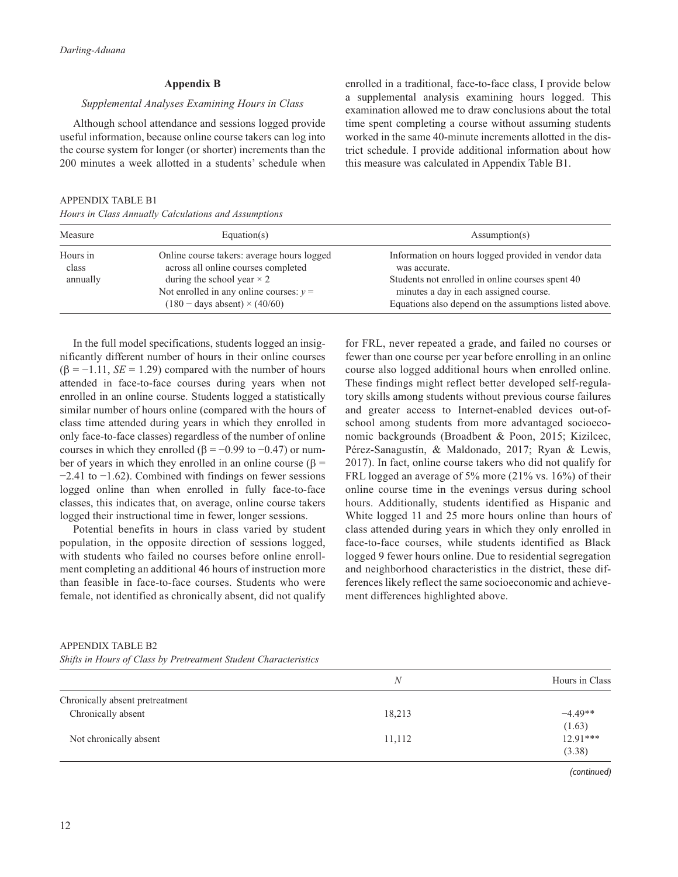## **Appendix B**

## *Supplemental Analyses Examining Hours in Class*

Although school attendance and sessions logged provide useful information, because online course takers can log into the course system for longer (or shorter) increments than the 200 minutes a week allotted in a students' schedule when

#### Appendix Table B1

*Hours in Class Annually Calculations and Assumptions*

enrolled in a traditional, face-to-face class, I provide below a supplemental analysis examining hours logged. This examination allowed me to draw conclusions about the total time spent completing a course without assuming students worked in the same 40-minute increments allotted in the district schedule. I provide additional information about how this measure was calculated in Appendix Table B1.

| Measure                       | Equation(s)                                                                                                                                                                                                        | Assumption(s)                                                                                                                                                                                                                |
|-------------------------------|--------------------------------------------------------------------------------------------------------------------------------------------------------------------------------------------------------------------|------------------------------------------------------------------------------------------------------------------------------------------------------------------------------------------------------------------------------|
| Hours in<br>class<br>annually | Online course takers: average hours logged<br>across all online courses completed<br>during the school year $\times$ 2<br>Not enrolled in any online courses: $y =$<br>$(180 - \text{days absent}) \times (40/60)$ | Information on hours logged provided in vendor data<br>was accurate.<br>Students not enrolled in online courses spent 40<br>minutes a day in each assigned course.<br>Equations also depend on the assumptions listed above. |

In the full model specifications, students logged an insignificantly different number of hours in their online courses  $(\beta = -1.11, SE = 1.29)$  compared with the number of hours attended in face-to-face courses during years when not enrolled in an online course. Students logged a statistically similar number of hours online (compared with the hours of class time attended during years in which they enrolled in only face-to-face classes) regardless of the number of online courses in which they enrolled ( $\beta$  = −0.99 to −0.47) or number of years in which they enrolled in an online course ( $\beta$  =  $-2.41$  to  $-1.62$ ). Combined with findings on fewer sessions logged online than when enrolled in fully face-to-face classes, this indicates that, on average, online course takers logged their instructional time in fewer, longer sessions.

Potential benefits in hours in class varied by student population, in the opposite direction of sessions logged, with students who failed no courses before online enrollment completing an additional 46 hours of instruction more than feasible in face-to-face courses. Students who were female, not identified as chronically absent, did not qualify for FRL, never repeated a grade, and failed no courses or fewer than one course per year before enrolling in an online course also logged additional hours when enrolled online. These findings might reflect better developed self-regulatory skills among students without previous course failures and greater access to Internet-enabled devices out-ofschool among students from more advantaged socioeconomic backgrounds (Broadbent & Poon, 2015; Kizilcec, Pérez-Sanagustín, & Maldonado, 2017; Ryan & Lewis, 2017). In fact, online course takers who did not qualify for FRL logged an average of 5% more (21% vs. 16%) of their online course time in the evenings versus during school hours. Additionally, students identified as Hispanic and White logged 11 and 25 more hours online than hours of class attended during years in which they only enrolled in face-to-face courses, while students identified as Black logged 9 fewer hours online. Due to residential segregation and neighborhood characteristics in the district, these differences likely reflect the same socioeconomic and achievement differences highlighted above.

Appendix Table B2 *Shifts in Hours of Class by Pretreatment Student Characteristics*

|                                 | N      | Hours in Class |
|---------------------------------|--------|----------------|
| Chronically absent pretreatment |        |                |
| Chronically absent              | 18,213 | $-4.49**$      |
|                                 |        | (1.63)         |
| Not chronically absent          | 11,112 | $12.91***$     |
|                                 |        | (3.38)         |

*(continued)*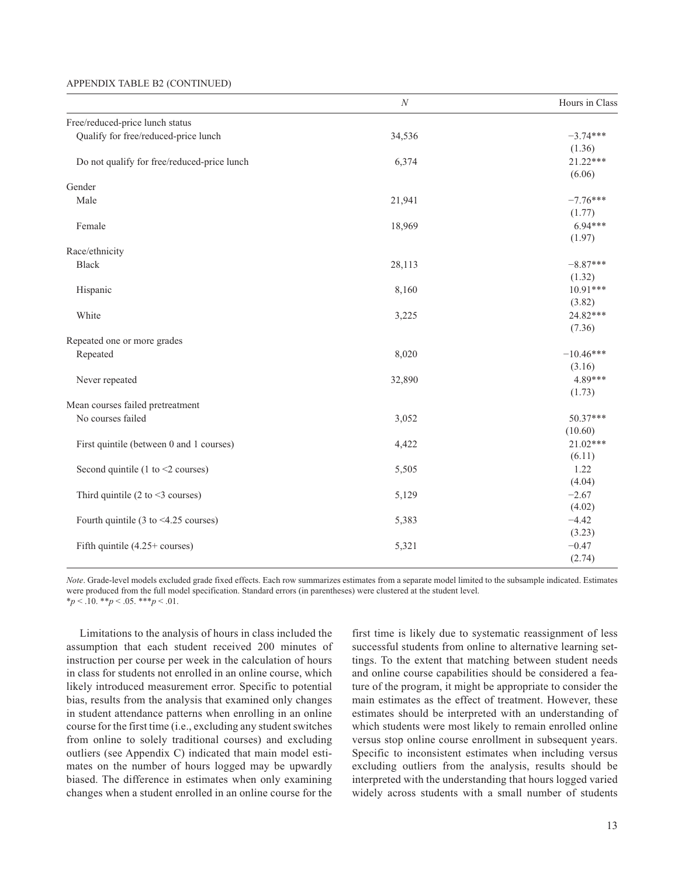#### Appendix Table B2 (continued)

|                                                          | $\cal N$ | Hours in Class |
|----------------------------------------------------------|----------|----------------|
| Free/reduced-price lunch status                          |          |                |
| Qualify for free/reduced-price lunch                     | 34,536   | $-3.74***$     |
|                                                          |          | (1.36)         |
| Do not qualify for free/reduced-price lunch              | 6,374    | 21.22***       |
|                                                          |          | (6.06)         |
| Gender                                                   |          |                |
| Male                                                     | 21,941   | $-7.76***$     |
|                                                          |          | (1.77)         |
| Female                                                   | 18,969   | $6.94***$      |
|                                                          |          | (1.97)         |
| Race/ethnicity                                           |          |                |
| <b>Black</b>                                             | 28,113   | $-8.87***$     |
|                                                          |          | (1.32)         |
| Hispanic                                                 | 8,160    | $10.91***$     |
|                                                          |          | (3.82)         |
| White                                                    | 3,225    | 24.82***       |
|                                                          |          | (7.36)         |
| Repeated one or more grades                              |          |                |
| Repeated                                                 | 8,020    | $-10.46***$    |
|                                                          |          | (3.16)         |
| Never repeated                                           | 32,890   | 4.89***        |
|                                                          |          | (1.73)         |
| Mean courses failed pretreatment                         |          |                |
| No courses failed                                        | 3,052    | 50.37***       |
|                                                          |          | (10.60)        |
| First quintile (between 0 and 1 courses)                 | 4,422    | 21.02***       |
|                                                          |          | (6.11)         |
| Second quintile $(1 to < 2 \text{ courses})$             | 5,505    | 1.22           |
|                                                          |          | (4.04)         |
| Third quintile $(2 \text{ to } \leq 3 \text{ courses})$  | 5,129    | $-2.67$        |
|                                                          |          | (4.02)         |
| Fourth quintile $(3 \text{ to } < 4.25 \text{ courses})$ | 5,383    | $-4.42$        |
|                                                          |          | (3.23)         |
| Fifth quintile $(4.25+)$ courses)                        | 5,321    | $-0.47$        |
|                                                          |          | (2.74)         |

*Note*. Grade-level models excluded grade fixed effects. Each row summarizes estimates from a separate model limited to the subsample indicated. Estimates were produced from the full model specification. Standard errors (in parentheses) were clustered at the student level. \**p* < .10. \*\**p* < .05. \*\*\**p* < .01.

Limitations to the analysis of hours in class included the assumption that each student received 200 minutes of instruction per course per week in the calculation of hours in class for students not enrolled in an online course, which likely introduced measurement error. Specific to potential bias, results from the analysis that examined only changes in student attendance patterns when enrolling in an online course for the first time (i.e., excluding any student switches from online to solely traditional courses) and excluding outliers (see Appendix C) indicated that main model estimates on the number of hours logged may be upwardly biased. The difference in estimates when only examining changes when a student enrolled in an online course for the

first time is likely due to systematic reassignment of less successful students from online to alternative learning settings. To the extent that matching between student needs and online course capabilities should be considered a feature of the program, it might be appropriate to consider the main estimates as the effect of treatment. However, these estimates should be interpreted with an understanding of which students were most likely to remain enrolled online versus stop online course enrollment in subsequent years. Specific to inconsistent estimates when including versus excluding outliers from the analysis, results should be interpreted with the understanding that hours logged varied widely across students with a small number of students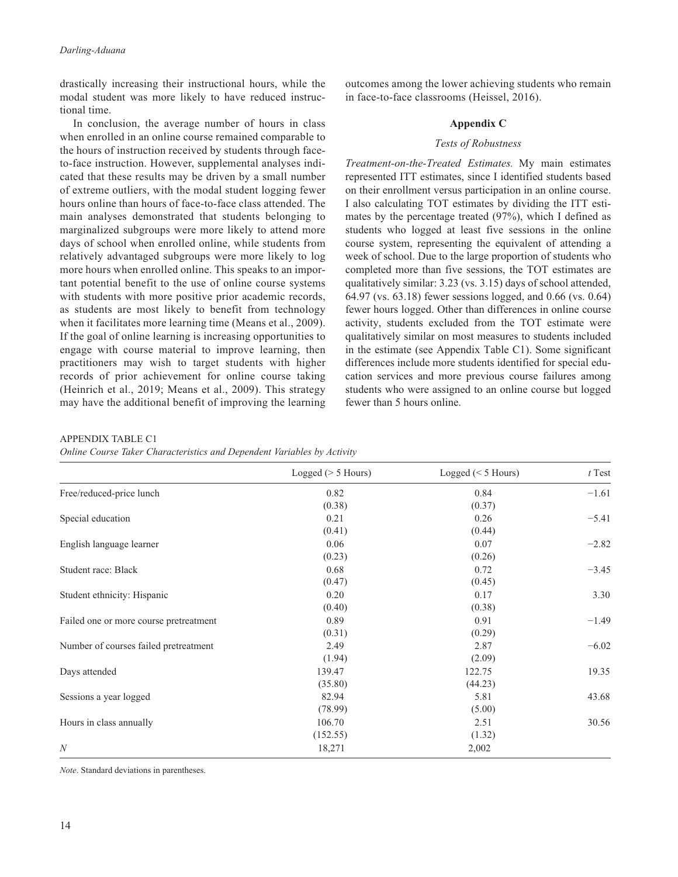drastically increasing their instructional hours, while the modal student was more likely to have reduced instructional time.

In conclusion, the average number of hours in class when enrolled in an online course remained comparable to the hours of instruction received by students through faceto-face instruction. However, supplemental analyses indicated that these results may be driven by a small number of extreme outliers, with the modal student logging fewer hours online than hours of face-to-face class attended. The main analyses demonstrated that students belonging to marginalized subgroups were more likely to attend more days of school when enrolled online, while students from relatively advantaged subgroups were more likely to log more hours when enrolled online. This speaks to an important potential benefit to the use of online course systems with students with more positive prior academic records, as students are most likely to benefit from technology when it facilitates more learning time (Means et al., 2009). If the goal of online learning is increasing opportunities to engage with course material to improve learning, then practitioners may wish to target students with higher records of prior achievement for online course taking (Heinrich et al., 2019; Means et al., 2009). This strategy may have the additional benefit of improving the learning

outcomes among the lower achieving students who remain in face-to-face classrooms (Heissel, 2016).

## **Appendix C**

#### *Tests of Robustness*

*Treatment-on-the-Treated Estimates.* My main estimates represented ITT estimates, since I identified students based on their enrollment versus participation in an online course. I also calculating TOT estimates by dividing the ITT estimates by the percentage treated (97%), which I defined as students who logged at least five sessions in the online course system, representing the equivalent of attending a week of school. Due to the large proportion of students who completed more than five sessions, the TOT estimates are qualitatively similar: 3.23 (vs. 3.15) days of school attended, 64.97 (vs. 63.18) fewer sessions logged, and 0.66 (vs. 0.64) fewer hours logged. Other than differences in online course activity, students excluded from the TOT estimate were qualitatively similar on most measures to students included in the estimate (see Appendix Table C1). Some significant differences include more students identified for special education services and more previous course failures among students who were assigned to an online course but logged fewer than 5 hours online.

Appendix Table C1

*Online Course Taker Characteristics and Dependent Variables by Activity*

|                                        | Logged ( $>$ 5 Hours) | Logged ( $\leq$ 5 Hours) | $t$ Test |
|----------------------------------------|-----------------------|--------------------------|----------|
| Free/reduced-price lunch               | 0.82                  | 0.84                     | $-1.61$  |
|                                        | (0.38)                | (0.37)                   |          |
| Special education                      | 0.21                  | 0.26                     | $-5.41$  |
|                                        | (0.41)                | (0.44)                   |          |
| English language learner               | 0.06                  | 0.07                     | $-2.82$  |
|                                        | (0.23)                | (0.26)                   |          |
| Student race: Black                    | 0.68                  | 0.72                     | $-3.45$  |
|                                        | (0.47)                | (0.45)                   |          |
| Student ethnicity: Hispanic            | 0.20                  | 0.17                     | 3.30     |
|                                        | (0.40)                | (0.38)                   |          |
| Failed one or more course pretreatment | 0.89                  | 0.91                     | $-1.49$  |
|                                        | (0.31)                | (0.29)                   |          |
| Number of courses failed pretreatment  | 2.49                  | 2.87                     | $-6.02$  |
|                                        | (1.94)                | (2.09)                   |          |
| Days attended                          | 139.47                | 122.75                   | 19.35    |
|                                        | (35.80)               | (44.23)                  |          |
| Sessions a year logged                 | 82.94                 | 5.81                     | 43.68    |
|                                        | (78.99)               | (5.00)                   |          |
| Hours in class annually                | 106.70                | 2.51                     | 30.56    |
|                                        | (152.55)              | (1.32)                   |          |
| $\boldsymbol{N}$                       | 18,271                | 2,002                    |          |

*Note*. Standard deviations in parentheses.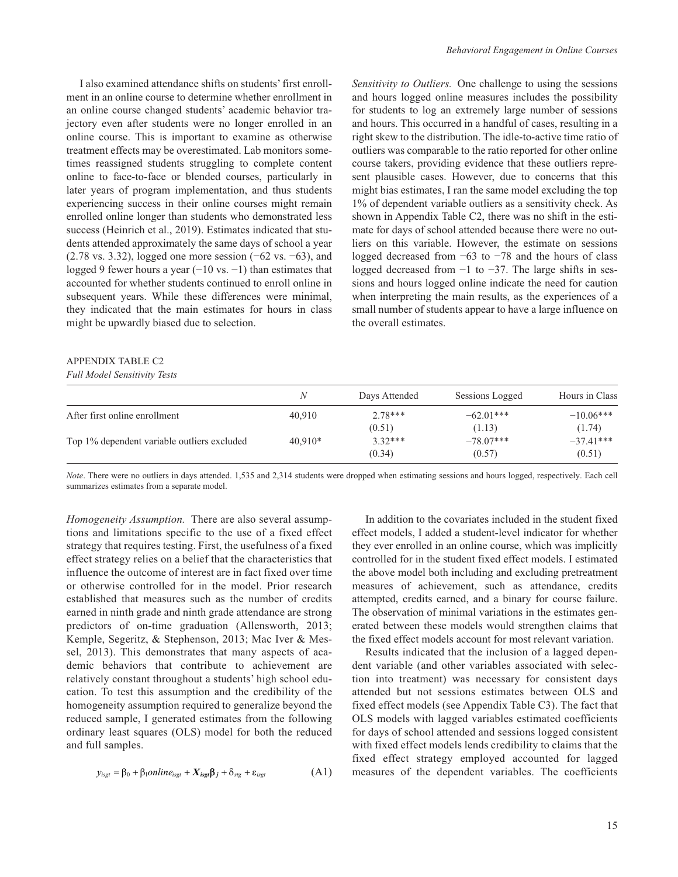I also examined attendance shifts on students' first enrollment in an online course to determine whether enrollment in an online course changed students' academic behavior trajectory even after students were no longer enrolled in an online course. This is important to examine as otherwise treatment effects may be overestimated. Lab monitors sometimes reassigned students struggling to complete content online to face-to-face or blended courses, particularly in later years of program implementation, and thus students experiencing success in their online courses might remain enrolled online longer than students who demonstrated less success (Heinrich et al., 2019). Estimates indicated that students attended approximately the same days of school a year (2.78 vs. 3.32), logged one more session (−62 vs. −63), and logged 9 fewer hours a year (−10 vs. −1) than estimates that accounted for whether students continued to enroll online in subsequent years. While these differences were minimal, they indicated that the main estimates for hours in class might be upwardly biased due to selection.

*Sensitivity to Outliers.* One challenge to using the sessions and hours logged online measures includes the possibility for students to log an extremely large number of sessions and hours. This occurred in a handful of cases, resulting in a right skew to the distribution. The idle-to-active time ratio of outliers was comparable to the ratio reported for other online course takers, providing evidence that these outliers represent plausible cases. However, due to concerns that this might bias estimates, I ran the same model excluding the top 1% of dependent variable outliers as a sensitivity check. As shown in Appendix Table C2, there was no shift in the estimate for days of school attended because there were no outliers on this variable. However, the estimate on sessions logged decreased from −63 to −78 and the hours of class logged decreased from −1 to −37. The large shifts in sessions and hours logged online indicate the need for caution when interpreting the main results, as the experiences of a small number of students appear to have a large influence on the overall estimates.

# Appendix Table C2

*Full Model Sensitivity Tests*

|                                             | N         | Days Attended       | Sessions Logged       | Hours in Class        |
|---------------------------------------------|-----------|---------------------|-----------------------|-----------------------|
| After first online enrollment               | 40.910    | $2.78***$<br>(0.51) | $-62.01***$<br>(1.13) | $-10.06***$<br>(1.74) |
| Top 1% dependent variable outliers excluded | $40.910*$ | $3.32***$<br>(0.34) | $-78.07***$<br>(0.57) | $-37.41***$<br>(0.51) |

*Note*. There were no outliers in days attended. 1,535 and 2,314 students were dropped when estimating sessions and hours logged, respectively. Each cell summarizes estimates from a separate model.

*Homogeneity Assumption.* There are also several assumptions and limitations specific to the use of a fixed effect strategy that requires testing. First, the usefulness of a fixed effect strategy relies on a belief that the characteristics that influence the outcome of interest are in fact fixed over time or otherwise controlled for in the model. Prior research established that measures such as the number of credits earned in ninth grade and ninth grade attendance are strong predictors of on-time graduation (Allensworth, 2013; Kemple, Segeritz, & Stephenson, 2013; Mac Iver & Messel, 2013). This demonstrates that many aspects of academic behaviors that contribute to achievement are relatively constant throughout a students' high school education. To test this assumption and the credibility of the homogeneity assumption required to generalize beyond the reduced sample, I generated estimates from the following ordinary least squares (OLS) model for both the reduced and full samples.

$$
y_{\text{isgt}} = \beta_0 + \beta_1 \text{online}_{\text{isgt}} + X_{\text{isgt}} \beta_j + \delta_{\text{stg}} + \varepsilon_{\text{isgt}} \tag{A1}
$$

In addition to the covariates included in the student fixed effect models, I added a student-level indicator for whether they ever enrolled in an online course, which was implicitly controlled for in the student fixed effect models. I estimated the above model both including and excluding pretreatment measures of achievement, such as attendance, credits attempted, credits earned, and a binary for course failure. The observation of minimal variations in the estimates generated between these models would strengthen claims that the fixed effect models account for most relevant variation.

Results indicated that the inclusion of a lagged dependent variable (and other variables associated with selection into treatment) was necessary for consistent days attended but not sessions estimates between OLS and fixed effect models (see Appendix Table C3). The fact that OLS models with lagged variables estimated coefficients for days of school attended and sessions logged consistent with fixed effect models lends credibility to claims that the fixed effect strategy employed accounted for lagged measures of the dependent variables. The coefficients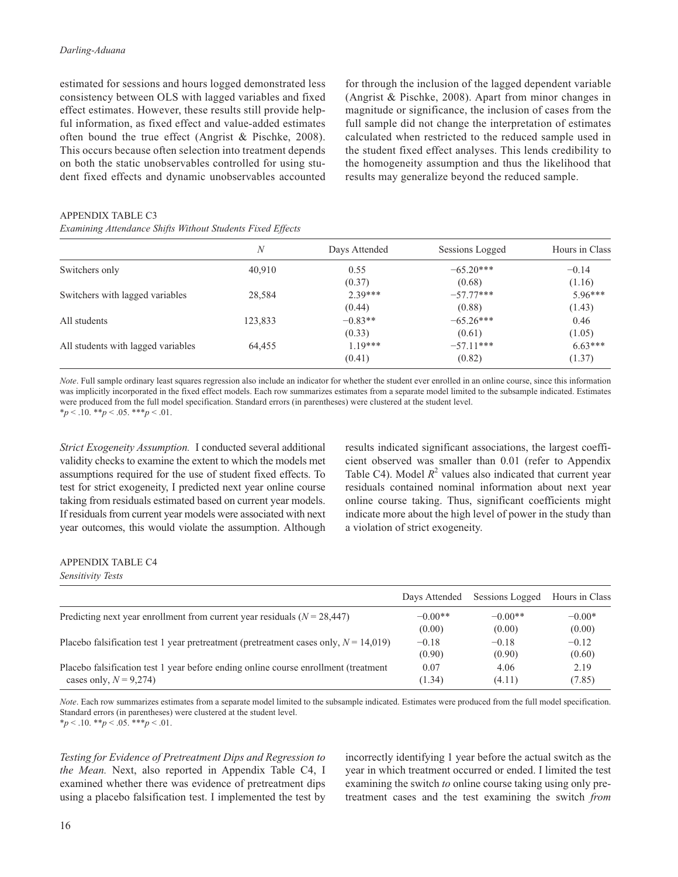estimated for sessions and hours logged demonstrated less consistency between OLS with lagged variables and fixed effect estimates. However, these results still provide helpful information, as fixed effect and value-added estimates often bound the true effect (Angrist & Pischke, 2008). This occurs because often selection into treatment depends on both the static unobservables controlled for using student fixed effects and dynamic unobservables accounted for through the inclusion of the lagged dependent variable (Angrist & Pischke, 2008). Apart from minor changes in magnitude or significance, the inclusion of cases from the full sample did not change the interpretation of estimates calculated when restricted to the reduced sample used in the student fixed effect analyses. This lends credibility to the homogeneity assumption and thus the likelihood that results may generalize beyond the reduced sample.

#### Appendix Table C3

*Examining Attendance Shifts Without Students Fixed Effects*

|                                    | $\boldsymbol{N}$ | Days Attended | Sessions Logged | Hours in Class |
|------------------------------------|------------------|---------------|-----------------|----------------|
| Switchers only                     | 40,910           | 0.55          | $-65.20***$     | $-0.14$        |
|                                    |                  | (0.37)        | (0.68)          | (1.16)         |
| Switchers with lagged variables    | 28,584           | $2.39***$     | $-57.77***$     | $5.96***$      |
|                                    |                  | (0.44)        | (0.88)          | (1.43)         |
| All students                       | 123,833          | $-0.83**$     | $-65.26***$     | 0.46           |
|                                    |                  | (0.33)        | (0.61)          | (1.05)         |
| All students with lagged variables | 64,455           | $1.19***$     | $-57.11***$     | $6.63***$      |
|                                    |                  | (0.41)        | (0.82)          | (1.37)         |

*Note*. Full sample ordinary least squares regression also include an indicator for whether the student ever enrolled in an online course, since this information was implicitly incorporated in the fixed effect models. Each row summarizes estimates from a separate model limited to the subsample indicated. Estimates were produced from the full model specification. Standard errors (in parentheses) were clustered at the student level.

 $*_{p}$  < .10.  $*_{p}$  < .05.  $*_{p}$  < .01.

*Strict Exogeneity Assumption.* I conducted several additional validity checks to examine the extent to which the models met assumptions required for the use of student fixed effects. To test for strict exogeneity, I predicted next year online course taking from residuals estimated based on current year models. If residuals from current year models were associated with next year outcomes, this would violate the assumption. Although results indicated significant associations, the largest coefficient observed was smaller than 0.01 (refer to Appendix Table C4). Model  $R^2$  values also indicated that current year residuals contained nominal information about next year online course taking. Thus, significant coefficients might indicate more about the high level of power in the study than a violation of strict exogeneity.

# Appendix Table C4

#### *Sensitivity Tests*

|                                                                                         | Days Attended | Sessions Logged | Hours in Class |
|-----------------------------------------------------------------------------------------|---------------|-----------------|----------------|
| Predicting next year enrollment from current year residuals $(N = 28,447)$              | $-0.00**$     | $-0.00**$       | $-0.00*$       |
|                                                                                         | (0.00)        | (0.00)          | (0.00)         |
| Placebo falsification test 1 year pretreatment (pretreatment cases only, $N = 14,019$ ) | $-0.18$       | $-0.18$         | $-0.12$        |
|                                                                                         | (0.90)        | (0.90)          | (0.60)         |
| Placebo falsification test 1 year before ending online course enrollment (treatment)    | 0.07          | 4.06            | 2.19           |
| cases only, $N = 9,274$                                                                 | (1.34)        | (4.11)          | (7.85)         |

*Note*. Each row summarizes estimates from a separate model limited to the subsample indicated. Estimates were produced from the full model specification. Standard errors (in parentheses) were clustered at the student level. \**p* < .10. \*\**p* < .05. \*\*\**p* < .01.

*Testing for Evidence of Pretreatment Dips and Regression to the Mean.* Next, also reported in Appendix Table C4, I examined whether there was evidence of pretreatment dips using a placebo falsification test. I implemented the test by incorrectly identifying 1 year before the actual switch as the year in which treatment occurred or ended. I limited the test examining the switch *to* online course taking using only pretreatment cases and the test examining the switch *from*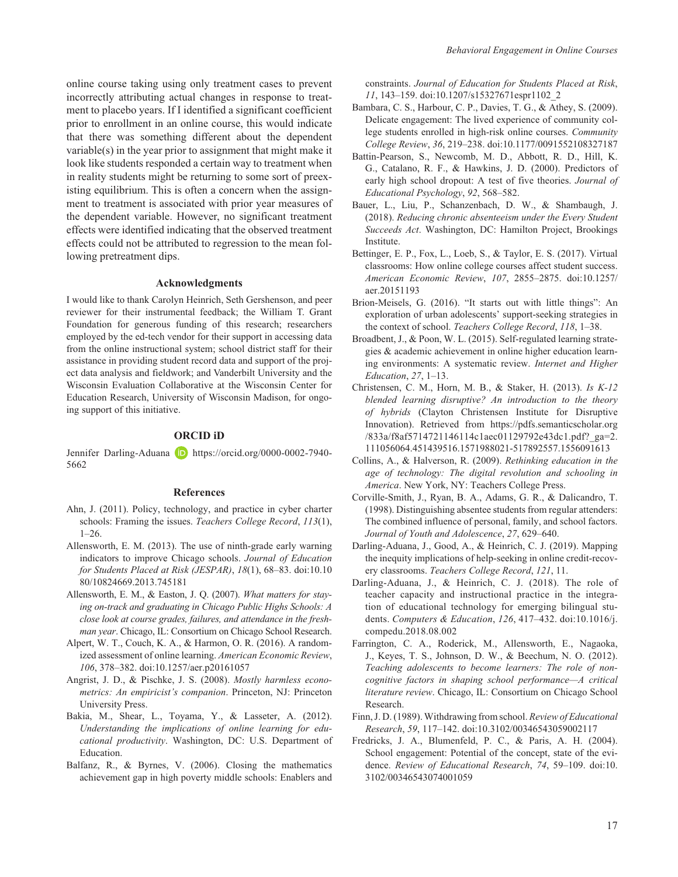online course taking using only treatment cases to prevent incorrectly attributing actual changes in response to treatment to placebo years. If I identified a significant coefficient prior to enrollment in an online course, this would indicate that there was something different about the dependent variable(s) in the year prior to assignment that might make it look like students responded a certain way to treatment when in reality students might be returning to some sort of preexisting equilibrium. This is often a concern when the assignment to treatment is associated with prior year measures of the dependent variable. However, no significant treatment effects were identified indicating that the observed treatment effects could not be attributed to regression to the mean following pretreatment dips.

#### **Acknowledgments**

I would like to thank Carolyn Heinrich, Seth Gershenson, and peer reviewer for their instrumental feedback; the William T. Grant Foundation for generous funding of this research; researchers employed by the ed-tech vendor for their support in accessing data from the online instructional system; school district staff for their assistance in providing student record data and support of the project data analysis and fieldwork; and Vanderbilt University and the Wisconsin Evaluation Collaborative at the Wisconsin Center for Education Research, University of Wisconsin Madison, for ongoing support of this initiative.

## **ORCID iD**

Jennifer Darling-Aduana **D** [https://orcid.org/0000-0002-7940-](https://orcid.org/0000-0002-7940-5662) [5662](https://orcid.org/0000-0002-7940-5662)

## **References**

- Ahn, J. (2011). Policy, technology, and practice in cyber charter schools: Framing the issues. *Teachers College Record*, *113*(1), 1–26.
- Allensworth, E. M. (2013). The use of ninth-grade early warning indicators to improve Chicago schools. *Journal of Education for Students Placed at Risk (JESPAR)*, *18*(1), 68–83. doi:10.10 80/10824669.2013.745181
- Allensworth, E. M., & Easton, J. Q. (2007). *What matters for staying on-track and graduating in Chicago Public Highs Schools: A close look at course grades, failures, and attendance in the freshman year*. Chicago, IL: Consortium on Chicago School Research.
- Alpert, W. T., Couch, K. A., & Harmon, O. R. (2016). A randomized assessment of online learning. *American Economic Review*, *106*, 378–382. doi:10.1257/aer.p20161057
- Angrist, J. D., & Pischke, J. S. (2008). *Mostly harmless econometrics: An empiricist's companion*. Princeton, NJ: Princeton University Press.
- Bakia, M., Shear, L., Toyama, Y., & Lasseter, A. (2012). *Understanding the implications of online learning for educational productivity*. Washington, DC: U.S. Department of Education.
- Balfanz, R., & Byrnes, V. (2006). Closing the mathematics achievement gap in high poverty middle schools: Enablers and

constraints. *Journal of Education for Students Placed at Risk*, *11*, 143–159. doi:10.1207/s15327671espr1102\_2

- Bambara, C. S., Harbour, C. P., Davies, T. G., & Athey, S. (2009). Delicate engagement: The lived experience of community college students enrolled in high-risk online courses. *Community College Review*, *36*, 219–238. doi:10.1177/0091552108327187
- Battin-Pearson, S., Newcomb, M. D., Abbott, R. D., Hill, K. G., Catalano, R. F., & Hawkins, J. D. (2000). Predictors of early high school dropout: A test of five theories. *Journal of Educational Psychology*, *92*, 568–582.
- Bauer, L., Liu, P., Schanzenbach, D. W., & Shambaugh, J. (2018). *Reducing chronic absenteeism under the Every Student Succeeds Act*. Washington, DC: Hamilton Project, Brookings Institute.
- Bettinger, E. P., Fox, L., Loeb, S., & Taylor, E. S. (2017). Virtual classrooms: How online college courses affect student success. *American Economic Review*, *107*, 2855–2875. doi:10.1257/ aer.20151193
- Brion-Meisels, G. (2016). "It starts out with little things": An exploration of urban adolescents' support-seeking strategies in the context of school. *Teachers College Record*, *118*, 1–38.
- Broadbent, J., & Poon, W. L. (2015). Self-regulated learning strategies & academic achievement in online higher education learning environments: A systematic review. *Internet and Higher Education*, *27*, 1–13.
- Christensen, C. M., Horn, M. B., & Staker, H. (2013). *Is K-12 blended learning disruptive? An introduction to the theory of hybrids* (Clayton Christensen Institute for Disruptive Innovation). Retrieved from [https://pdfs.semanticscholar.org](https://pdfs.semanticscholar.org/833a/f8af5714721146114c1aec01129792e43dc1.pdf?_ga=2.111056064.451439516.1571988021-517892557.1556091613) [/833a/f8af5714721146114c1aec01129792e43dc1.pdf?\\_ga=2.](https://pdfs.semanticscholar.org/833a/f8af5714721146114c1aec01129792e43dc1.pdf?_ga=2.111056064.451439516.1571988021-517892557.1556091613) [111056064.451439516.1571988021-517892557.1556091613](https://pdfs.semanticscholar.org/833a/f8af5714721146114c1aec01129792e43dc1.pdf?_ga=2.111056064.451439516.1571988021-517892557.1556091613)
- Collins, A., & Halverson, R. (2009). *Rethinking education in the age of technology: The digital revolution and schooling in America*. New York, NY: Teachers College Press.
- Corville-Smith, J., Ryan, B. A., Adams, G. R., & Dalicandro, T. (1998). Distinguishing absentee students from regular attenders: The combined influence of personal, family, and school factors. *Journal of Youth and Adolescence*, *27*, 629–640.
- Darling-Aduana, J., Good, A., & Heinrich, C. J. (2019). Mapping the inequity implications of help-seeking in online credit-recovery classrooms. *Teachers College Record*, *121*, 11.
- Darling-Aduana, J., & Heinrich, C. J. (2018). The role of teacher capacity and instructional practice in the integration of educational technology for emerging bilingual students. *Computers & Education*, *126*, 417–432. doi:10.1016/j. compedu.2018.08.002
- Farrington, C. A., Roderick, M., Allensworth, E., Nagaoka, J., Keyes, T. S., Johnson, D. W., & Beechum, N. O. (2012). *Teaching adolescents to become learners: The role of noncognitive factors in shaping school performance—A critical literature review*. Chicago, IL: Consortium on Chicago School Research.
- Finn, J. D. (1989). Withdrawing from school. *Review of Educational Research*, *59*, 117–142. doi:10.3102/00346543059002117
- Fredricks, J. A., Blumenfeld, P. C., & Paris, A. H. (2004). School engagement: Potential of the concept, state of the evidence. *Review of Educational Research*, *74*, 59–109. doi:10. 3102/00346543074001059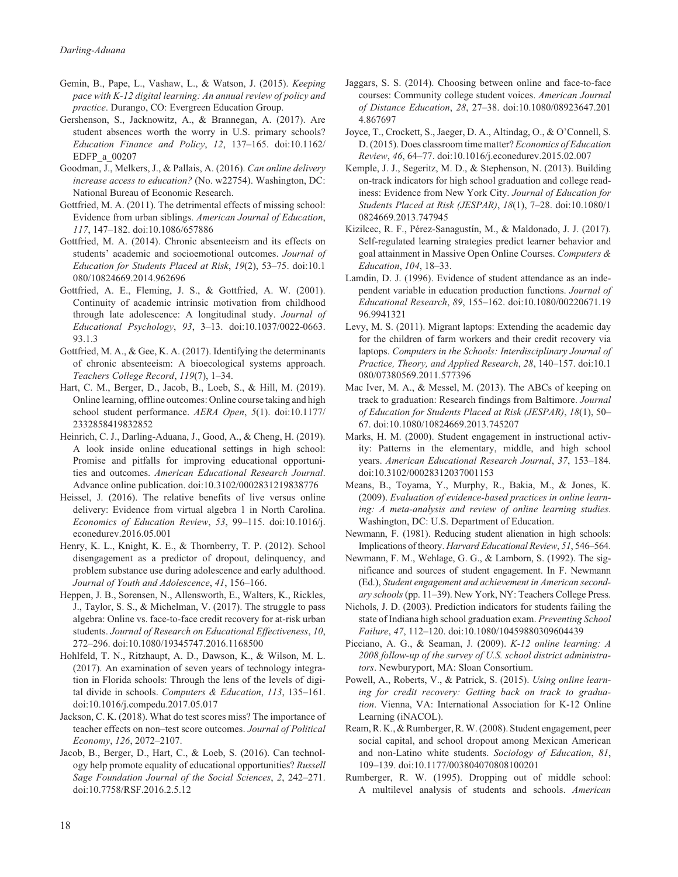- Gemin, B., Pape, L., Vashaw, L., & Watson, J. (2015). *Keeping pace with K-12 digital learning: An annual review of policy and practice*. Durango, CO: Evergreen Education Group.
- Gershenson, S., Jacknowitz, A., & Brannegan, A. (2017). Are student absences worth the worry in U.S. primary schools? *Education Finance and Policy*, *12*, 137–165. doi:10.1162/ EDFP\_a\_00207
- Goodman, J., Melkers, J., & Pallais, A. (2016). *Can online delivery increase access to education?* (No. w22754). Washington, DC: National Bureau of Economic Research.
- Gottfried, M. A. (2011). The detrimental effects of missing school: Evidence from urban siblings. *American Journal of Education*, *117*, 147–182. doi:10.1086/657886
- Gottfried, M. A. (2014). Chronic absenteeism and its effects on students' academic and socioemotional outcomes. *Journal of Education for Students Placed at Risk*, *19*(2), 53–75. doi:10.1 080/10824669.2014.962696
- Gottfried, A. E., Fleming, J. S., & Gottfried, A. W. (2001). Continuity of academic intrinsic motivation from childhood through late adolescence: A longitudinal study. *Journal of Educational Psychology*, *93*, 3–13. doi:10.1037/0022-0663. 93.1.3
- Gottfried, M. A., & Gee, K. A. (2017). Identifying the determinants of chronic absenteeism: A bioecological systems approach. *Teachers College Record*, *119*(7), 1–34.
- Hart, C. M., Berger, D., Jacob, B., Loeb, S., & Hill, M. (2019). Online learning, offline outcomes: Online course taking and high school student performance. *AERA Open*, *5*(1). doi:10.1177/ 2332858419832852
- Heinrich, C. J., Darling-Aduana, J., Good, A., & Cheng, H. (2019). A look inside online educational settings in high school: Promise and pitfalls for improving educational opportunities and outcomes. *American Educational Research Journal*. Advance online publication. doi:10.3102/0002831219838776
- Heissel, J. (2016). The relative benefits of live versus online delivery: Evidence from virtual algebra 1 in North Carolina. *Economics of Education Review*, *53*, 99–115. doi:10.1016/j. econedurev.2016.05.001
- Henry, K. L., Knight, K. E., & Thornberry, T. P. (2012). School disengagement as a predictor of dropout, delinquency, and problem substance use during adolescence and early adulthood. *Journal of Youth and Adolescence*, *41*, 156–166.
- Heppen, J. B., Sorensen, N., Allensworth, E., Walters, K., Rickles, J., Taylor, S. S., & Michelman, V. (2017). The struggle to pass algebra: Online vs. face-to-face credit recovery for at-risk urban students. *Journal of Research on Educational Effectiveness*, *10*, 272–296. doi:10.1080/19345747.2016.1168500
- Hohlfeld, T. N., Ritzhaupt, A. D., Dawson, K., & Wilson, M. L. (2017). An examination of seven years of technology integration in Florida schools: Through the lens of the levels of digital divide in schools. *Computers & Education*, *113*, 135–161. doi:10.1016/j.compedu.2017.05.017
- Jackson, C. K. (2018). What do test scores miss? The importance of teacher effects on non–test score outcomes. *Journal of Political Economy*, *126*, 2072–2107.
- Jacob, B., Berger, D., Hart, C., & Loeb, S. (2016). Can technology help promote equality of educational opportunities? *Russell Sage Foundation Journal of the Social Sciences*, *2*, 242–271. doi:10.7758/RSF.2016.2.5.12
- Jaggars, S. S. (2014). Choosing between online and face-to-face courses: Community college student voices. *American Journal of Distance Education*, *28*, 27–38. doi:10.1080/08923647.201 4.867697
- Joyce, T., Crockett, S., Jaeger, D. A., Altindag, O., & O'Connell, S. D. (2015). Does classroom time matter? *Economics of Education Review*, *46*, 64–77. doi:10.1016/j.econedurev.2015.02.007
- Kemple, J. J., Segeritz, M. D., & Stephenson, N. (2013). Building on-track indicators for high school graduation and college readiness: Evidence from New York City. *Journal of Education for Students Placed at Risk (JESPAR)*, *18*(1), 7–28. doi:10.1080/1 0824669.2013.747945
- Kizilcec, R. F., Pérez-Sanagustín, M., & Maldonado, J. J. (2017). Self-regulated learning strategies predict learner behavior and goal attainment in Massive Open Online Courses. *Computers & Education*, *104*, 18–33.
- Lamdin, D. J. (1996). Evidence of student attendance as an independent variable in education production functions. *Journal of Educational Research*, *89*, 155–162. doi:10.1080/00220671.19 96.9941321
- Levy, M. S. (2011). Migrant laptops: Extending the academic day for the children of farm workers and their credit recovery via laptops. *Computers in the Schools: Interdisciplinary Journal of Practice, Theory, and Applied Research*, *28*, 140–157. doi:10.1 080/07380569.2011.577396
- Mac Iver, M. A., & Messel, M. (2013). The ABCs of keeping on track to graduation: Research findings from Baltimore. *Journal of Education for Students Placed at Risk (JESPAR)*, *18*(1), 50– 67. doi:10.1080/10824669.2013.745207
- Marks, H. M. (2000). Student engagement in instructional activity: Patterns in the elementary, middle, and high school years. *American Educational Research Journal*, *37*, 153–184. doi:10.3102/00028312037001153
- Means, B., Toyama, Y., Murphy, R., Bakia, M., & Jones, K. (2009). *Evaluation of evidence-based practices in online learning: A meta-analysis and review of online learning studies*. Washington, DC: U.S. Department of Education.
- Newmann, F. (1981). Reducing student alienation in high schools: Implications of theory. *Harvard Educational Review*, *51*, 546–564.
- Newmann, F. M., Wehlage, G. G., & Lamborn, S. (1992). The significance and sources of student engagement. In F. Newmann (Ed.), *Student engagement and achievement in American secondary schools* (pp. 11–39). New York, NY: Teachers College Press.
- Nichols, J. D. (2003). Prediction indicators for students failing the state of Indiana high school graduation exam. *Preventing School Failure*, *47*, 112–120. doi:10.1080/10459880309604439
- Picciano, A. G., & Seaman, J. (2009). *K-12 online learning: A 2008 follow-up of the survey of U.S. school district administrators*. Newburyport, MA: Sloan Consortium.
- Powell, A., Roberts, V., & Patrick, S. (2015). *Using online learning for credit recovery: Getting back on track to graduation*. Vienna, VA: International Association for K-12 Online Learning (iNACOL).
- Ream, R. K., & Rumberger, R. W. (2008). Student engagement, peer social capital, and school dropout among Mexican American and non-Latino white students. *Sociology of Education*, *81*, 109–139. doi:10.1177/003804070808100201
- Rumberger, R. W. (1995). Dropping out of middle school: A multilevel analysis of students and schools. *American*